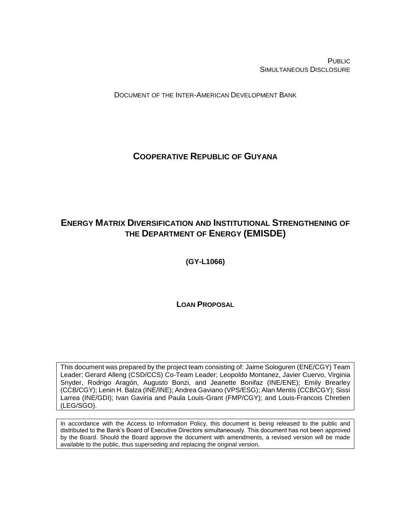PUBLIC SIMULTANEOUS DISCLOSURE

DOCUMENT OF THE INTER-AMERICAN DEVELOPMENT BANK

# **COOPERATIVE REPUBLIC OF GUYANA**

# **ENERGY MATRIX DIVERSIFICATION AND INSTITUTIONAL STRENGTHENING OF THE DEPARTMENT OF ENERGY (EMISDE)**

**(GY-L1066)**

**LOAN PROPOSAL**

This document was prepared by the project team consisting of: Jaime Sologuren (ENE/CGY) Team Leader; Gerard Alleng (CSD/CCS) Co-Team Leader; Leopoldo Montanez, Javier Cuervo, Virginia Snyder, Rodrigo Aragón, Augusto Bonzi, and Jeanette Bonifaz (INE/ENE); Emily Brearley (CCB/CGY); Lenin H. Balza (INE/INE); Andrea Gaviano (VPS/ESG); Alan Mentis (CCB/CGY); Sissi Larrea (INE/GDI); Ivan Gaviria and Paula Louis-Grant (FMP/CGY); and Louis-Francois Chretien (LEG/SGO).

In accordance with the Access to Information Policy, this document is being released to the public and distributed to the Bank's Board of Executive Directors simultaneously. This document has not been approved by the Board. Should the Board approve the document with amendments, a revised version will be made available to the public, thus superseding and replacing the original version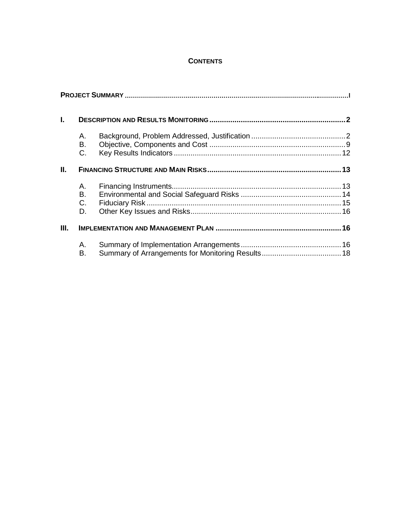# **CONTENTS**

| L. |                         |  |
|----|-------------------------|--|
|    | А.<br>В.<br>$C_{\cdot}$ |  |
| Ш. |                         |  |
|    | Α.<br>В.<br>C.<br>D.    |  |
| Ш. |                         |  |
|    | Α.<br>В.                |  |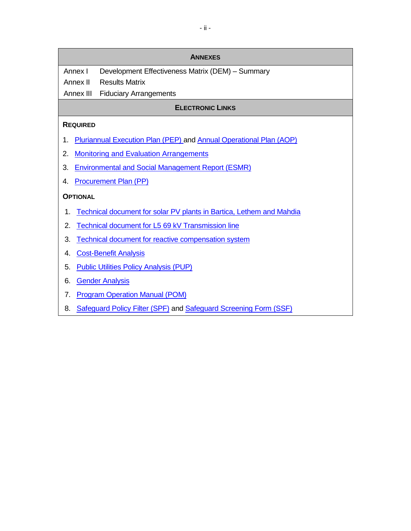| <b>ANNEXES</b>                                                                |  |  |  |  |  |  |  |
|-------------------------------------------------------------------------------|--|--|--|--|--|--|--|
| Annex I<br>Development Effectiveness Matrix (DEM) - Summary                   |  |  |  |  |  |  |  |
| <b>Results Matrix</b><br>Annex II                                             |  |  |  |  |  |  |  |
| Annex III<br><b>Fiduciary Arrangements</b>                                    |  |  |  |  |  |  |  |
| <b>ELECTRONIC LINKS</b>                                                       |  |  |  |  |  |  |  |
| <b>REQUIRED</b>                                                               |  |  |  |  |  |  |  |
| Pluriannual Execution Plan (PEP) and Annual Operational Plan (AOP)<br>1.      |  |  |  |  |  |  |  |
| <b>Monitoring and Evaluation Arrangements</b><br>2.                           |  |  |  |  |  |  |  |
| <b>Environmental and Social Management Report (ESMR)</b><br>3.                |  |  |  |  |  |  |  |
| <b>Procurement Plan (PP)</b><br>4.                                            |  |  |  |  |  |  |  |
| <b>OPTIONAL</b>                                                               |  |  |  |  |  |  |  |
| Technical document for solar PV plants in Bartica, Lethem and Mahdia<br>1.    |  |  |  |  |  |  |  |
| 2.<br><b>Technical document for L5 69 kV Transmission line</b>                |  |  |  |  |  |  |  |
| 3.<br>Technical document for reactive compensation system                     |  |  |  |  |  |  |  |
| <b>Cost-Benefit Analysis</b><br>4.                                            |  |  |  |  |  |  |  |
| <b>Public Utilities Policy Analysis (PUP)</b><br>5.                           |  |  |  |  |  |  |  |
| <b>Gender Analysis</b><br>6.                                                  |  |  |  |  |  |  |  |
| <b>Program Operation Manual (POM)</b><br>7.                                   |  |  |  |  |  |  |  |
| <b>Safequard Policy Filter (SPF) and Safequard Screening Form (SSF)</b><br>8. |  |  |  |  |  |  |  |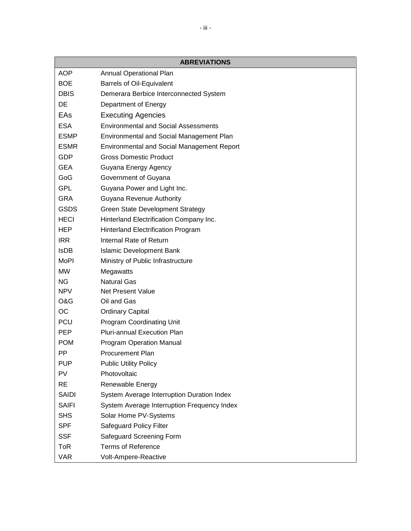|              | <b>ABREVIATIONS</b>                               |
|--------------|---------------------------------------------------|
| <b>AOP</b>   | <b>Annual Operational Plan</b>                    |
| <b>BOE</b>   | <b>Barrels of Oil-Equivalent</b>                  |
| <b>DBIS</b>  | Demerara Berbice Interconnected System            |
| DE           | Department of Energy                              |
| EAs          | <b>Executing Agencies</b>                         |
| <b>ESA</b>   | <b>Environmental and Social Assessments</b>       |
| <b>ESMP</b>  | Environmental and Social Management Plan          |
| <b>ESMR</b>  | <b>Environmental and Social Management Report</b> |
| GDP          | <b>Gross Domestic Product</b>                     |
| GEA          | Guyana Energy Agency                              |
| GoG          | Government of Guyana                              |
| <b>GPL</b>   | Guyana Power and Light Inc.                       |
| <b>GRA</b>   | <b>Guyana Revenue Authority</b>                   |
| <b>GSDS</b>  | <b>Green State Development Strategy</b>           |
| <b>HECI</b>  | Hinterland Electrification Company Inc.           |
| HEP          | Hinterland Electrification Program                |
| <b>IRR</b>   | Internal Rate of Return                           |
| <b>IsDB</b>  | <b>Islamic Development Bank</b>                   |
| <b>MoPI</b>  | Ministry of Public Infrastructure                 |
| <b>MW</b>    | Megawatts                                         |
| <b>NG</b>    | <b>Natural Gas</b>                                |
| <b>NPV</b>   | <b>Net Present Value</b>                          |
| O&G          | Oil and Gas                                       |
| ОC           | <b>Ordinary Capital</b>                           |
| <b>PCU</b>   | <b>Program Coordinating Unit</b>                  |
| <b>PEP</b>   | <b>Pluri-annual Execution Plan</b>                |
| <b>POM</b>   | <b>Program Operation Manual</b>                   |
| PP           | <b>Procurement Plan</b>                           |
| <b>PUP</b>   | <b>Public Utility Policy</b>                      |
| PV           | Photovoltaic                                      |
| <b>RE</b>    | Renewable Energy                                  |
| <b>SAIDI</b> | System Average Interruption Duration Index        |
| <b>SAIFI</b> | System Average Interruption Frequency Index       |
| <b>SHS</b>   | Solar Home PV-Systems                             |
| <b>SPF</b>   | Safeguard Policy Filter                           |
| <b>SSF</b>   | Safeguard Screening Form                          |
| ToR          | <b>Terms of Reference</b>                         |
| <b>VAR</b>   | Volt-Ampere-Reactive                              |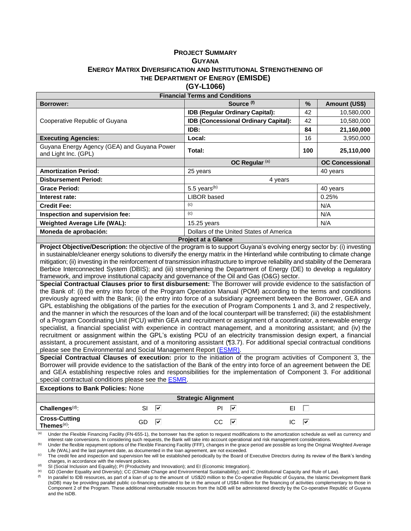#### **PROJECT SUMMARY GUYANA ENERGY MATRIX DIVERSIFICATION AND INSTITUTIONAL STRENGTHENING OF THE DEPARTMENT OF ENERGY (EMISDE) (GY-L1066)**

| <b>Financial Terms and Conditions</b>                               |                                                                 |                        |            |  |  |  |  |
|---------------------------------------------------------------------|-----------------------------------------------------------------|------------------------|------------|--|--|--|--|
| <b>Borrower:</b>                                                    | Source (f)                                                      | $\%$                   |            |  |  |  |  |
|                                                                     | <b>IDB (Regular Ordinary Capital):</b>                          | 42                     | 10,580,000 |  |  |  |  |
| Cooperative Republic of Guyana                                      | <b>IDB (Concessional Ordinary Capital):</b>                     | 42                     | 10,580,000 |  |  |  |  |
|                                                                     | IDB:                                                            | 84                     | 21,160,000 |  |  |  |  |
| <b>Executing Agencies:</b>                                          | Local:                                                          | 16                     | 3,950,000  |  |  |  |  |
| Guyana Energy Agency (GEA) and Guyana Power<br>and Light Inc. (GPL) | Total:                                                          | 100                    | 25,110,000 |  |  |  |  |
|                                                                     |                                                                 | <b>OC Concessional</b> |            |  |  |  |  |
| <b>Amortization Period:</b>                                         | 25 years                                                        |                        | 40 years   |  |  |  |  |
| <b>Disbursement Period:</b>                                         | 4 years                                                         |                        |            |  |  |  |  |
| <b>Grace Period:</b>                                                | 5.5 years $(b)$                                                 |                        | 40 years   |  |  |  |  |
| Interest rate:                                                      | LIBOR based                                                     | 0.25%                  |            |  |  |  |  |
| <b>Credit Fee:</b>                                                  | (c)                                                             | N/A                    |            |  |  |  |  |
| Inspection and supervision fee:                                     | (c)                                                             |                        | N/A        |  |  |  |  |
| <b>Weighted Average Life (WAL):</b>                                 | 15.25 years                                                     |                        | N/A        |  |  |  |  |
| Moneda de aprobación:                                               | Dollars of the United States of America                         |                        |            |  |  |  |  |
|                                                                     | $\mathbf{D}_{\text{max}}$ is a finite $\mathbf{D}_{\text{max}}$ |                        |            |  |  |  |  |

**Project at a Glance**

**Project Objective/Description:** the objective of the program is to support Guyana's evolving energy sector by: (i) investing in sustainable/cleaner energy solutions to diversify the energy matrix in the Hinterland while contributing to climate change mitigation; (ii) investing in the reinforcement of transmission infrastructure to improve reliability and stability of the Demerara Berbice Interconnected System (DBIS); and (iii) strengthening the Department of Energy (DE) to develop a regulatory framework, and improve institutional capacity and governance of the Oil and Gas (O&G) sector.

**Special Contractual Clauses prior to first disbursement:** The Borrower will provide evidence to the satisfaction of the Bank of: (i) the entry into force of the Program Operation Manual (POM) according to the terms and conditions previously agreed with the Bank; (ii) the entry into force of a subsidiary agreement between the Borrower, GEA and GPL establishing the obligations of the parties for the execution of Program Components 1 and 3, and 2 respectively, and the manner in which the resources of the loan and of the local counterpart will be transferred; (iii) the establishment of a Program Coordinating Unit (PCU) within GEA and recruitment or assignment of a coordinator, a renewable energy specialist, a financial specialist with experience in contract management, and a monitoring assistant; and (iv) the recruitment or assignment within the GPL's existing PCU of an electricity transmission design expert, a financial assistant, a procurement assistant, and of a monitoring assistant ([¶3.7\)](#page-20-0). For additional special contractual conditions please see the Environmental and Social Management Report (**ESMR**).

**Special Contractual Clauses of execution:** prior to the initiation of the program activities of Component 3, the Borrower will provide evidence to the satisfaction of the Bank of the entry into force of an agreement between the DE and GEA establishing respective roles and responsibilities for the implementation of Component 3. For additional special contractual conditions please see the [ESMR.](https://idbg.sharepoint.com/teams/EZ-GY-LON/GY-L1066/_layouts/15/DocIdRedir.aspx?ID=EZSHARE-669955382-38)

**Exceptions to Bank Policies:** None

| <b>Strategic Alignment</b>               |          |           |          |  |  |  |  |  |  |
|------------------------------------------|----------|-----------|----------|--|--|--|--|--|--|
| Challenges $(d)$ :                       | SI<br>₩  | PI<br>Ⅳ   | EI       |  |  |  |  |  |  |
| Cross-Cutting<br>Themes <sup>(e)</sup> : | GD<br>∣V | CC.<br>∣V | ∣⊽<br>IC |  |  |  |  |  |  |

Under the Flexible Financing Facility (FN-655-1), the borrower has the option to request modifications to the amortization schedule as well as currency and interest rate conversions. In considering such requests, the Bank will take into account operational and risk management considerations.

Under the flexible repayment options of the Flexible Financing Facility (FFF), changes in the grace period are possible as long the Original Weighted Average Life (WAL) and the last payment date, as documented in the loan agreement, are not exceeded.

The credit fee and inspection and supervision fee will be established periodically by the Board of Executive Directors during its review of the Bank's lending charges, in accordance with the relevant policies.

SI (Social Inclusion and Equality); PI (Productivity and Innovation); and EI (Economic Integration).

(e) GD (Gender Equality and Diversity); CC (Climate Change and Environmental Sustainability); and IC (Institutional Capacity and Rule of Law).

In parallel to IDB resources, as part of a loan of up to the amount of US\$20 million to the Co-operative Republic of Guyana, the Islamic Development Bank (IsDB) may be providing parallel public co-financing estimated to be in the amount of US\$4 million for the financing of activities complementary to those in Component 2 of the Program. These additional reimbursable resources from the IsDB will be administered directly by the Co-operative Republic of Guyana and the IsDB.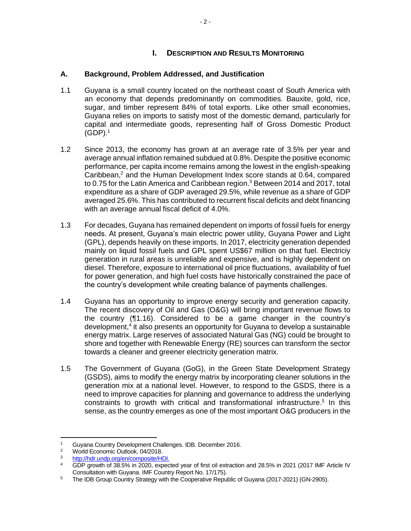# **I. DESCRIPTION AND RESULTS MONITORING**

# **A. Background, Problem Addressed, and Justification**

- 1.1 Guyana is a small country located on the northeast coast of South America with an economy that depends predominantly on commodities. Bauxite, gold, rice, sugar, and timber represent 84% of total exports. Like other small economies, Guyana relies on imports to satisfy most of the domestic demand, particularly for capital and intermediate goods, representing half of Gross Domestic Product  $(GDP).<sup>1</sup>$
- 1.2 Since 2013, the economy has grown at an average rate of 3.5% per year and average annual inflation remained subdued at 0.8%. Despite the positive economic performance, per capita income remains among the lowest in the english-speaking Caribbean, <sup>2</sup> and the Human Development Index score stands at 0.64, compared to 0.75 for the Latin America and Caribbean region. <sup>3</sup> Between 2014 and 2017, total expenditure as a share of GDP averaged 29.5%, while revenue as a share of GDP averaged 25.6%. This has contributed to recurrent fiscal deficits and debt financing with an average annual fiscal deficit of 4.0%.
- 1.3 For decades, Guyana has remained dependent on imports of fossil fuels for energy needs. At present, Guyana's main electric power utility, Guyana Power and Light (GPL), depends heavily on these imports. In 2017, electricity generation depended mainly on liquid fossil fuels and GPL spent US\$67 million on that fuel. Electriciy generation in rural areas is unreliable and expensive, and is highly dependent on diesel. Therefore, exposure to international oil price fluctuations, availability of fuel for power generation, and high fuel costs have historically constrained the pace of the country's development while creating balance of payments challenges.
- 1.4 Guyana has an opportunity to improve energy security and generation capacity. The recent discovery of Oil and Gas (O&G) will bring important revenue flows to the country ([¶1.16\)](#page-7-0). Considered to be a game changer in the country's development,<sup>4</sup> it also presents an opportunity for Guyana to develop a sustainable energy matrix. Large reserves of associated Natural Gas (NG) could be brought to shore and together with Renewable Energy (RE) sources can transform the sector towards a cleaner and greener electricity generation matrix.
- 1.5 The Government of Guyana (GoG), in the [Green State Development Strategy](https://idbg.sharepoint.com/teams/EZ-GY-LON/GY-L1066/_layouts/15/DocIdRedir.aspx?ID=EZSHARE-669955382-41) (GSDS), aims to modify the energy matrix by incorporating cleaner solutions in the generation mix at a national level. However, to respond to the GSDS, there is a need to improve capacities for planning and governance to address the underlying constraints to growth with critical and transformational infrastructure. 5 In this sense, as the country emerges as one of the most important O&G producers in the

<sup>&</sup>lt;sup>1</sup> Guyana Country Development Challenges. IDB. December 2016.

<sup>&</sup>lt;sup>2</sup> World Economic Outlook, 04/2018.<br> $\frac{3}{2}$  http://hdr.undp.org/on/composite/HF

<sup>&</sup>lt;sup>3</sup> [http://hdr.undp.org/en/composite/HDI.](http://hdr.undp.org/en/composite/HDI)

<sup>4</sup> GDP growth of 38.5% in 2020, expected year of first oil extraction and 28.5% in 2021 (2017 IMF Article IV Consultation with Guyana. IMF Country Report No. 17/175).

<sup>&</sup>lt;sup>5</sup> The IDB Group Country Strategy with the Cooperative Republic of Guyana (2017-2021) (GN-2905).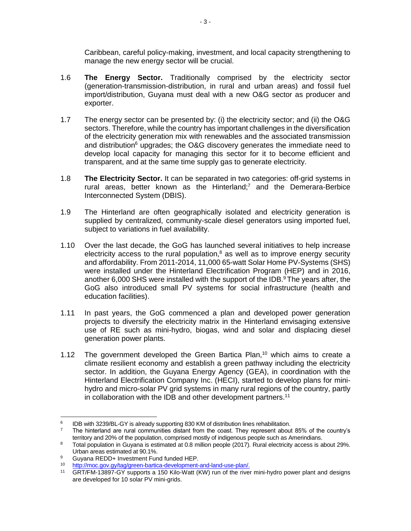Caribbean, careful policy-making, investment, and local capacity strengthening to manage the new energy sector will be crucial.

- 1.6 **The Energy Sector.** Traditionally comprised by the electricity sector (generation-transmission-distribution, in rural and urban areas) and fossil fuel import/distribution, Guyana must deal with a new O&G sector as producer and exporter.
- 1.7 The energy sector can be presented by: (i) the electricity sector; and (ii) the O&G sectors. Therefore, while the country has important challenges in the diversification of the electricity generation mix with renewables and the associated transmission and distribution $6$  upgrades; the O&G discovery generates the immediate need to develop local capacity for managing this sector for it to become efficient and transparent, and at the same time supply gas to generate electricity.
- 1.8 **The Electricity Sector.** It can be separated in two categories: off-grid systems in rural areas, better known as the Hinterland;<sup>7</sup> and the Demerara-Berbice Interconnected System (DBIS).
- 1.9 The Hinterland are often geographically isolated and electricity generation is supplied by centralized, community-scale diesel generators using imported fuel, subject to variations in fuel availability.
- 1.10 Over the last decade, the GoG has launched several initiatives to help increase electricity access to the rural population, $8$  as well as to improve energy security and affordability. From 2011-2014, 11,000 65-watt Solar Home PV-Systems (SHS) were installed under the Hinterland Electrification Program (HEP) and in 2016, another 6,000 SHS were installed with the support of the IDB. $9$ The years after, the GoG also introduced small PV systems for social infrastructure (health and education facilities).
- 1.11 In past years, the GoG commenced a plan and developed power generation projects to diversify the electricity matrix in the Hinterland envisaging extensive use of RE such as mini-hydro, biogas, wind and solar and displacing diesel generation power plants.
- <span id="page-6-0"></span>1.12 The government developed the Green Bartica Plan,<sup>10</sup> which aims to create a climate resilient economy and establish a green pathway including the electricity sector. In addition, the Guyana Energy Agency (GEA), in coordination with the Hinterland Electrification Company Inc. (HECI), started to develop plans for minihydro and micro-solar PV grid systems in many rural regions of the country, partly in collaboration with the IDB and other development partners.<sup>11</sup>

 $\overline{a}$ 6 IDB with 3239/BL-GY is already supporting 830 KM of distribution lines rehabilitation.

<sup>&</sup>lt;sup>7</sup> The hinterland are rural communities distant from the coast. They represent about 85% of the country's territory and 20% of the population, comprised mostly of indigenous people such as Amerindians.

<sup>&</sup>lt;sup>8</sup> Total population in Guyana is estimated at 0.8 million people (2017). Rural electricity access is about 29%. Urban areas estimated at 90.1%.

<sup>9</sup> Guyana REDD+ Investment Fund funded HEP.<br> $\frac{10}{2}$  http://meg.gov.gv/tag/green.bartics.dovelopment

<sup>10</sup> [http://moc.gov.gy/tag/green-bartica-development-and-land-use-plan/.](http://moc.gov.gy/tag/green-bartica-development-and-land-use-plan/)<br>11 GRT/EM-13897-GV supports a 150 Kilo-Watt (KW) rup of the river

GRT/FM-13897-GY supports a 150 Kilo-Watt (KW) run of the river mini-hydro power plant and designs are developed for 10 solar PV mini-grids.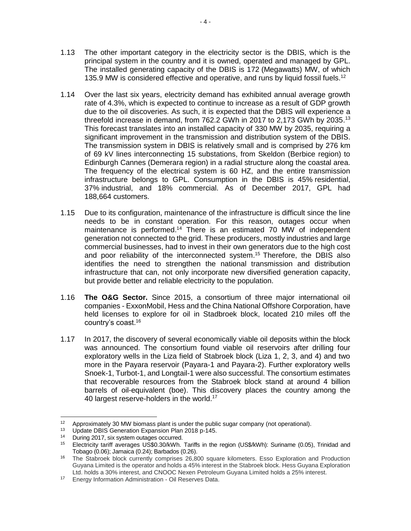- 1.13 The other important category in the electricity sector is the DBIS, which is the principal system in the country and it is owned, operated and managed by GPL. The installed generating capacity of the DBIS is 172 (Megawatts) MW, of which 135.9 MW is considered effective and operative, and runs by liquid fossil fuels.<sup>12</sup>
- 1.14 Over the last six years, electricity demand has exhibited annual average growth rate of 4.3%, which is expected to continue to increase as a result of GDP growth due to the oil discoveries. As such, it is expected that the DBIS will experience a threefold increase in demand, from 762.2 GWh in 2017 to 2,173 GWh by 2035.<sup>13</sup> This forecast translates into an installed capacity of 330 MW by 2035, requiring a significant improvement in the transmission and distribution system of the DBIS. The transmission system in DBIS is relatively small and is comprised by 276 km of 69 kV lines interconnecting 15 substations, from Skeldon (Berbice region) to Edinburgh Cannes (Demerara region) in a radial structure along the coastal area. The frequency of the electrical system is 60 HZ, and the entire transmission infrastructure belongs to GPL. Consumption in the DBIS is 45% residential, 37% industrial, and 18% commercial. As of December 2017, GPL had 188,664 customers.
- 1.15 Due to its configuration, maintenance of the infrastructure is difficult since the line needs to be in constant operation. For this reason, outages occur when maintenance is performed.<sup>14</sup> There is an estimated 70 MW of independent generation not connected to the grid. These producers, mostly industries and large commercial businesses, had to invest in their own generators due to the high cost and poor reliability of the interconnected system. <sup>15</sup> Therefore, the DBIS also identifies the need to strengthen the national transmission and distribution infrastructure that can, not only incorporate new diversified generation capacity, but provide better and reliable electricity to the population.
- <span id="page-7-0"></span>1.16 **The O&G Sector.** Since 2015, a consortium of three major international oil companies - ExxonMobil, Hess and the China National Offshore Corporation, have held licenses to explore for oil in Stadbroek block, located 210 miles off the country's coast. 16
- 1.17 In 2017, the discovery of several economically viable oil deposits within the block was announced. The consortium found viable oil reservoirs after drilling four exploratory wells in the Liza field of Stabroek block (Liza 1, 2, 3, and 4) and two more in the Payara reservoir (Payara-1 and Payara-2). Further exploratory wells Snoek-1, Turbot-1, and Longtail-1 were also successful. The consortium estimates that recoverable resources from the Stabroek block stand at around 4 billion barrels of oil-equivalent (boe). This discovery places the country among the 40 largest reserve-holders in the world.<sup>17</sup>

 $\overline{a}$ <sup>12</sup> Approximately 30 MW biomass plant is under the public sugar company (not operational).

<sup>&</sup>lt;sup>13</sup> Update DBIS Generation Expansion Plan 2018 p-145.<br><sup>14</sup> During 2017, six system outages occurred

During 2017, six system outages occurred.

<sup>15</sup> Electricity tariff averages US\$0.30/kWh. Tariffs in the region (US\$/kWh): Suriname (0.05), Trinidad and Tobago (0.06); Jamaica (0.24); Barbados (0.26).

<sup>16</sup> The Stabroek block currently comprises 26,800 square kilometers. Esso Exploration and Production Guyana Limited is the operator and holds a 45% interest in the Stabroek block. Hess Guyana Exploration Ltd. holds a 30% interest, and CNOOC Nexen Petroleum Guyana Limited holds a 25% interest.

<sup>17</sup> Energy Information Administration - Oil Reserves Data.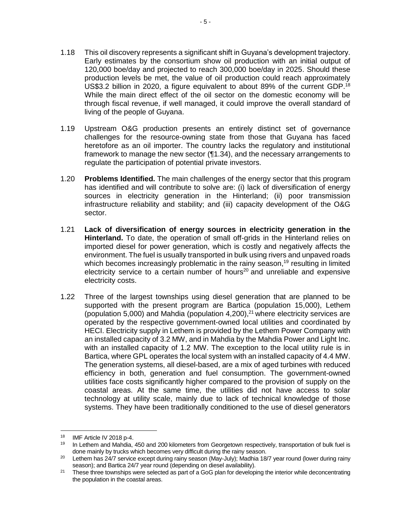- 1.18 This oil discovery represents a significant shift in Guyana's development trajectory. Early estimates by the consortium show oil production with an initial output of 120,000 boe/day and projected to reach 300,000 boe/day in 2025. Should these production levels be met, the value of oil production could reach approximately US\$3.2 billion in 2020, a figure equivalent to about 89% of the current GDP.<sup>18</sup> While the main direct effect of the oil sector on the domestic economy will be through fiscal revenue, if well managed, it could improve the overall standard of living of the people of Guyana.
- 1.19 Upstream O&G production presents an entirely distinct set of governance challenges for the resource-owning state from those that Guyana has faced heretofore as an oil importer. The country lacks the regulatory and institutional framework to manage the new sector ([¶1.34\)](#page-11-0), and the necessary arrangements to regulate the participation of potential private investors.
- 1.20 **Problems Identified.** The main challenges of the energy sector that this program has identified and will contribute to solve are: (i) lack of diversification of energy sources in electricity generation in the Hinterland; (ii) poor transmission infrastructure reliability and stability; and (iii) capacity development of the O&G sector.
- 1.21 **Lack of diversification of energy sources in electricity generation in the Hinterland.** To date, the operation of small off-grids in the Hinterland relies on imported diesel for power generation, which is costly and negatively affects the environment. The fuel is usually transported in bulk using rivers and unpaved roads which becomes increasingly problematic in the rainy season,<sup>19</sup> resulting in limited electricity service to a certain number of hours<sup>20</sup> and unreliable and expensive electricity costs.
- 1.22 Three of the largest townships using diesel generation that are planned to be supported with the present program are Bartica (population 15,000), Lethem (population 5,000) and Mahdia (population 4,200), <sup>21</sup> where electricity services are operated by the respective government-owned local utilities and coordinated by HECI. Electricity supply in Lethem is provided by the Lethem Power Company with an installed capacity of 3.2 MW, and in Mahdia by the Mahdia Power and Light Inc. with an installed capacity of 1.2 MW. The exception to the local utility rule is in Bartica, where GPL operates the local system with an installed capacity of 4.4 MW. The generation systems, all diesel-based, are a mix of aged turbines with reduced efficiency in both, generation and fuel consumption. The government-owned utilities face costs significantly higher compared to the provision of supply on the coastal areas. At the same time, the utilities did not have access to solar technology at utility scale, mainly due to lack of technical knowledge of those systems. They have been traditionally conditioned to the use of diesel generators

<sup>18</sup> IMF Article IV 2018 p-4.

<sup>&</sup>lt;sup>19</sup> In Lethem and Mahdia, 450 and 200 kilometers from Georgetown respectively, transportation of bulk fuel is done mainly by trucks which becomes very difficult during the rainy season.

<sup>&</sup>lt;sup>20</sup> Lethem has 24/7 service except during rainy season (May-July); Madhia 18/7 year round (lower during rainy season); and Bartica 24/7 year round (depending on diesel availability).

<sup>&</sup>lt;sup>21</sup> These three townships were selected as part of a GoG plan for developing the interior while deconcentrating the population in the coastal areas.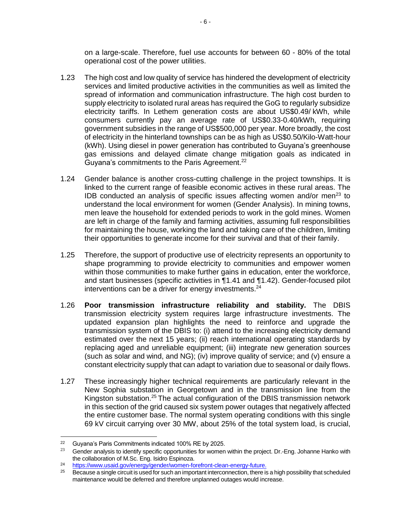on a large-scale. Therefore, fuel use accounts for between 60 - 80% of the total operational cost of the power utilities.

- 1.23 The high cost and low quality of service has hindered the development of electricity services and limited productive activities in the communities as well as limited the spread of information and communication infrastructure. The high cost burden to supply electricity to isolated rural areas has required the GoG to regularly subsidize electricity tariffs. In Lethem generation costs are about US\$0.49/ kWh, while consumers currently pay an average rate of US\$0.33-0.40/kWh, requiring government subsidies in the range of US\$500,000 per year. More broadly, the cost of electricity in the hinterland townships can be as high as US\$0.50/Kilo-Watt-hour (kWh). Using diesel in power generation has contributed to Guyana's greenhouse gas emissions and delayed climate change mitigation goals as indicated in Guyana's commitments to the Paris Agreement.<sup>22</sup>
- <span id="page-9-0"></span>1.24 Gender balance is another cross-cutting challenge in the project townships. It is linked to the current range of feasible economic actives in these rural areas. The IDB conducted an analysis of specific issues affecting women and/or men<sup>23</sup> to understand the local environment for women [\(Gender Analysis\)](http://idbdocs.iadb.org/wsdocs/getDocument.aspx?DOCNUM=EZSHARE-669955382-25). In mining towns, men leave the household for extended periods to work in the gold mines. Women are left in charge of the family and farming activities, assuming full responsibilities for maintaining the house, working the land and taking care of the children, limiting their opportunities to generate income for their survival and that of their family.
- <span id="page-9-1"></span>1.25 Therefore, the support of productive use of electricity represents an opportunity to shape programming to provide electricity to communities and empower women within those communities to make further gains in education, enter the workforce, and start businesses (specific activities in [¶1.41](#page-13-0) and [¶1.42\)](#page-14-0). Gender-focused pilot interventions can be a driver for energy investments. $24$
- 1.26 **Poor transmission infrastructure reliability and stability.** The DBIS transmission electricity system requires large infrastructure investments. The updated expansion plan highlights the need to reinforce and upgrade the transmission system of the DBIS to: (i) attend to the increasing electricity demand estimated over the next 15 years; (ii) reach international operating standards by replacing aged and unreliable equipment; (iii) integrate new generation sources (such as solar and wind, and NG); (iv) improve quality of service; and (v) ensure a constant electricity supply that can adapt to variation due to seasonal or daily flows.
- 1.27 These increasingly higher technical requirements are particularly relevant in the New Sophia substation in Georgetown and in the transmission line from the Kingston substation.<sup>25</sup> The actual configuration of the DBIS transmission network in this section of the grid caused six system power outages that negatively affected the entire customer base. The normal system operating conditions with this single 69 kV circuit carrying over 30 MW, about 25% of the total system load, is crucial,

<sup>22</sup> <sup>22</sup> Guyana's Paris Commitments indicated 100% RE by 2025.<br><sup>23</sup> Conder applysis to identify appeific appertunities for warmen.

Gender analysis to identify specific opportunities for women within the project. Dr.-Eng. Johanne Hanko with the collaboration of M.Sc. Eng. Isidro Espinoza.

<sup>&</sup>lt;sup>24</sup> [https://www.usaid.gov/energy/gender/women-forefront-clean-energy-future.](https://www.usaid.gov/energy/gender/women-forefront-clean-energy-future)

<sup>25</sup> Because a single circuit is used for such an important interconnection, there is a high possibility that scheduled maintenance would be deferred and therefore unplanned outages would increase.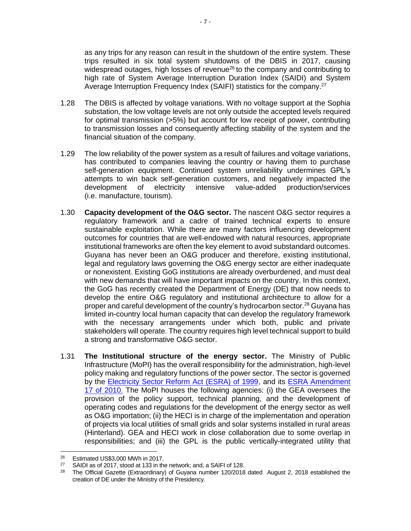as any trips for any reason can result in the shutdown of the entire system. These trips resulted in six total system shutdowns of the DBIS in 2017, causing widespread outages, high losses of revenue $26$  to the company and contributing to high rate of System Average Interruption Duration Index (SAIDI) and System Average Interruption Frequency Index (SAIFI) statistics for the company.<sup>27</sup>

- 1.28 The DBIS is affected by voltage variations. With no voltage support at the Sophia substation, the low voltage levels are not only outside the accepted levels required for optimal transmission (>5%) but account for low receipt of power, contributing to transmission losses and consequently affecting stability of the system and the financial situation of the company.
- 1.29 The low reliability of the power system as a result of failures and voltage variations, has contributed to companies leaving the country or having them to purchase self-generation equipment. Continued system unreliability undermines GPL's attempts to win back self-generation customers, and negatively impacted the development of electricity intensive value-added production/services (i.e. manufacture, tourism).
- 1.30 **Capacity development of the O&G sector.** The nascent O&G sector requires a regulatory framework and a cadre of trained technical experts to ensure sustainable exploitation. While there are many factors influencing development outcomes for countries that are well-endowed with natural resources, appropriate institutional frameworks are often the key element to avoid substandard outcomes. Guyana has never been an O&G producer and therefore, existing institutional, legal and regulatory laws governing the O&G energy sector are either inadequate or nonexistent. Existing GoG institutions are already overburdened, and must deal with new demands that will have important impacts on the country. In this context, the GoG has recently created the Department of Energy (DE) that now needs to develop the entire O&G regulatory and institutional architecture to allow for a proper and careful development of the country's hydrocarbon sector. <sup>28</sup> Guyana has limited in-country local human capacity that can develop the regulatory framework with the necessary arrangements under which both, public and private stakeholders will operate. The country requires high level technical support to build a strong and transformative O&G sector.
- 1.31 **The Institutional structure of the energy sector.** The Ministry of Public Infrastructure (MoPI) has the overall responsibility for the administration, high-level policy making and regulatory functions of the power sector. The sector is governed by the [Electricity Sector Reform Act \(ESRA\) of 1999,](http://parliament.gov.gy/publications/acts-of-parliament/the-electricity-sector-reform-act-1999/) and its [ESRA Amendment](https://idbg.sharepoint.com/teams/EZ-GY-LON/GY-L1066/_layouts/15/DocIdRedir.aspx?ID=EZSHARE-669955382-40)  [17 of 2010.](https://idbg.sharepoint.com/teams/EZ-GY-LON/GY-L1066/_layouts/15/DocIdRedir.aspx?ID=EZSHARE-669955382-40) The MoPI houses the following agencies: (i) the GEA oversees the provision of the policy support, technical planning, and the development of operating codes and regulations for the development of the energy sector as well as O&G importation; (ii) the HECI is in charge of the implementation and operation of projects via local utilities of small grids and solar systems installed in rural areas (Hinterland). GEA and HECI work in close collaboration due to some overlap in responsibilities; and (iii) the GPL is the public vertically-integrated utility that

<sup>26</sup> <sup>26</sup> Estimated US\$3,000 MWh in 2017.

<sup>&</sup>lt;sup>27</sup> SAIDI as of 2017, stood at 133 in the network; and, a SAIFI of 128.<br><sup>28</sup> The Official Carette (Extremational) of Guyang number 120/2018

<sup>28</sup> The Official Gazette (Extraordinary) of Guyana number 120/2018 dated August 2, 2018 established the creation of DE under the Ministry of the Presidency.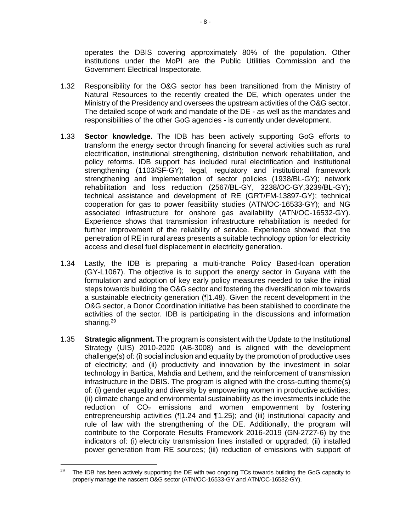operates the DBIS covering approximately 80% of the population. Other institutions under the MoPI are the Public Utilities Commission and the Government Electrical Inspectorate.

- 1.32 Responsibility for the O&G sector has been transitioned from the Ministry of Natural Resources to the recently created the DE, which operates under the Ministry of the Presidency and oversees the upstream activities of the O&G sector. The detailed scope of work and mandate of the DE - as well as the mandates and responsibilities of the other GoG agencies - is currently under development.
- 1.33 **Sector knowledge.** The IDB has been actively supporting GoG efforts to transform the energy sector through financing for several activities such as rural electrification, institutional strengthening, distribution network rehabilitation, and policy reforms. IDB support has included rural electrification and institutional strengthening (1103/SF-GY); legal, regulatory and institutional framework strengthening and implementation of sector policies (1938/BL-GY); network rehabilitation and loss reduction (2567/BL-GY, 3238/OC-GY,3239/BL-GY); technical assistance and development of RE (GRT/FM-13897-GY); technical cooperation for gas to power feasibility studies (ATN/OC-16533-GY); and NG associated infrastructure for onshore gas availability (ATN/OC-16532-GY). Experience shows that transmission infrastructure rehabilitation is needed for further improvement of the reliability of service. Experience showed that the penetration of RE in rural areas presents a suitable technology option for electricity access and diesel fuel displacement in electricity generation.
- <span id="page-11-0"></span>1.34 Lastly, the IDB is preparing a multi-tranche Policy Based-loan operation (GY-L1067). The objective is to support the energy sector in Guyana with the formulation and adoption of key early policy measures needed to take the initial steps towards building the O&G sector and fostering the diversification mix towards a sustainable electricity generation ([¶1.48\)](#page-15-0). Given the recent development in the O&G sector, a Donor Coordination initiative has been stablished to coordinate the activities of the sector. IDB is participating in the discussions and information sharing.<sup>29</sup>
- 1.35 **Strategic alignment.** The program is consistent with the Update to the Institutional Strategy (UIS) 2010-2020 (AB-3008) and is aligned with the development challenge(s) of: (i) social inclusion and equality by the promotion of productive uses of electricity; and (ii) productivity and innovation by the investment in solar technology in Bartica, Mahdia and Lethem, and the reinforcement of transmission infrastructure in the DBIS. The program is aligned with the cross-cutting theme(s) of: (i) gender equality and diversity by empowering women in productive activities; (ii) climate change and environmental sustainability as the investments include the reduction of  $CO<sub>2</sub>$  emissions and women empowerment by fostering entrepreneurship activities ([¶1.24](#page-9-0) and [¶1.25\)](#page-9-1); and (iii) institutional capacity and rule of law with the strengthening of the DE. Additionally, the program will contribute to the Corporate Results Framework 2016-2019 (GN-2727-6) by the indicators of: (i) electricity transmission lines installed or upgraded; (ii) installed power generation from RE sources; (iii) reduction of emissions with support of

 $29$  The IDB has been actively supporting the DE with two ongoing TCs towards building the GoG capacity to properly manage the nascent O&G sector (ATN/OC-16533-GY and ATN/OC-16532-GY).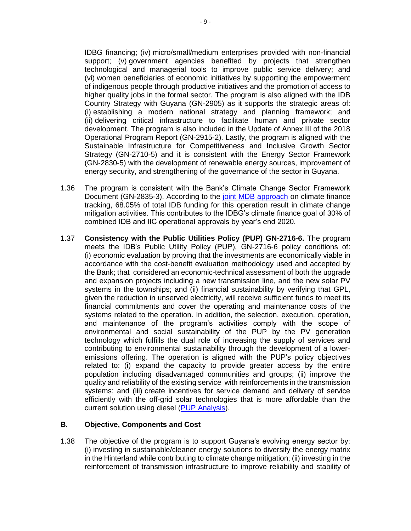IDBG financing; (iv) micro/small/medium enterprises provided with non-financial support; (v) government agencies benefited by projects that strengthen technological and managerial tools to improve public service delivery; and (vi) women beneficiaries of economic initiatives by supporting the empowerment of indigenous people through productive initiatives and the promotion of access to higher quality jobs in the formal sector. The program is also aligned with the IDB Country Strategy with Guyana (GN-2905) as it supports the strategic areas of: (i) establishing a modern national strategy and planning framework; and (ii) delivering critical infrastructure to facilitate human and private sector development. The program is also included in the Update of Annex III of the 2018 Operational Program Report (GN-2915-2). Lastly, the program is aligned with the Sustainable Infrastructure for Competitiveness and Inclusive Growth Sector Strategy (GN-2710-5) and it is consistent with the Energy Sector Framework (GN-2830-5) with the development of renewable energy sources, improvement of energy security, and strengthening of the governance of the sector in Guyana.

- 1.36 The program is consistent with the Bank's Climate Change Sector Framework Document (GN-2835-3). According to the [joint MDB approach](https://publications.iadb.org/handle/11319/8505) on climate finance tracking, 68.05% of total IDB funding for this operation result in climate change mitigation activities. This contributes to the IDBG's climate finance goal of 30% of combined IDB and IIC operational approvals by year's end 2020.
- 1.37 **Consistency with the Public Utilities Policy (PUP) GN-2716-6.** The program meets the IDB's Public Utility Policy (PUP), GN-2716-6 policy conditions of: (i) economic evaluation by proving that the investments are economically viable in accordance with the cost-benefit evaluation methodology used and accepted by the Bank; that considered an economic-technical assessment of both the upgrade and expansion projects including a new transmission line, and the new solar PV systems in the townships; and (ii) financial sustainability by verifying that GPL, given the reduction in unserved electricity, will receive sufficient funds to meet its financial commitments and cover the operating and maintenance costs of the systems related to the operation. In addition, the selection, execution, operation, and maintenance of the program's activities comply with the scope of environmental and social sustainability of the PUP by the PV generation technology which fulfills the dual role of increasing the supply of services and contributing to environmental sustainability through the development of a loweremissions offering. The operation is aligned with the PUP's policy objectives related to: (i) expand the capacity to provide greater access by the entire population including disadvantaged communities and groups; (ii) improve the quality and reliability of the existing service with reinforcements in the transmission systems; and (iii) create incentives for service demand and delivery of service efficiently with the off-grid solar technologies that is more affordable than the current solution using diesel (PUP [Analysis\)](https://idbg.sharepoint.com/teams/EZ-GY-LON/GY-L1066/_layouts/15/DocIdRedir.aspx?ID=EZSHARE-669955382-28).

### **B. Objective, Components and Cost**

1.38 The objective of the program is to support Guyana's evolving energy sector by: (i) investing in sustainable/cleaner energy solutions to diversify the energy matrix in the Hinterland while contributing to climate change mitigation; (ii) investing in the reinforcement of transmission infrastructure to improve reliability and stability of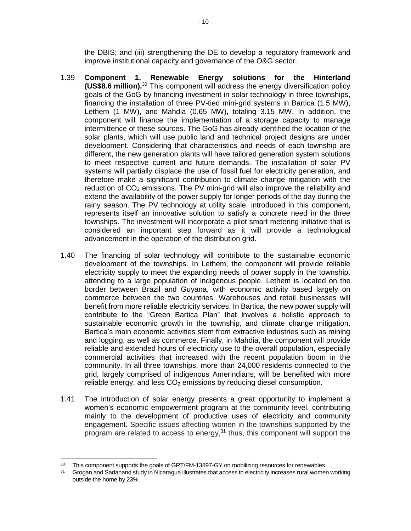the DBIS; and (iii) strengthening the DE to develop a regulatory framework and improve institutional capacity and governance of the O&G sector.

- 1.39 **Component 1. Renewable Energy solutions for the Hinterland (US\$8.6 million).** <sup>30</sup> This component will address the energy diversification policy goals of the GoG by financing investment in solar technology in three townships, financing the installation of three PV-tied mini-grid systems in Bartica (1.5 MW), Lethem (1 MW), and Mahdia (0.65 MW), totaling 3.15 MW. In addition, the component will finance the implementation of a storage capacity to manage intermittence of these sources. The GoG has already identified the location of the solar plants, which will use public land and technical project designs are under development. Considering that characteristics and needs of each township are different, the new generation plants will have tailored generation system solutions to meet respective current and future demands. The installation of solar PV systems will partially displace the use of fossil fuel for electricity generation, and therefore make a significant contribution to climate change mitigation with the reduction of  $CO<sub>2</sub>$  emissions. The PV mini-grid will also improve the reliability and extend the availability of the power supply for longer periods of the day during the rainy season. The PV technology at utility scale, introduced in this component, represents itself an innovative solution to satisfy a concrete need in the three townships. The investment will incorporate a pilot smart metering initiative that is considered an important step forward as it will provide a technological advancement in the operation of the distribution grid.
- 1.40 The financing of solar technology will contribute to the sustainable economic development of the townships. In Lethem, the component will provide reliable electricity supply to meet the expanding needs of power supply in the township, attending to a large population of indigenous people. Lethem is located on the border between Brazil and Guyana, with economic activity based largely on commerce between the two countries. Warehouses and retail businesses will benefit from more reliable electricity services. In Bartica, the new power supply will contribute to the "Green Bartica Plan" that involves a holistic approach to sustainable economic growth in the township, and climate change mitigation. Bartica's main economic activities stem from extractive industries such as mining and logging, as well as commerce. Finally, in Mahdia, the component will provide reliable and extended hours of electricity use to the overall population, especially commercial activities that increased with the recent population boom in the community. In all three townships, more than 24,000 residents connected to the grid, largely comprised of indigenous Amerindians, will be benefited with more reliable energy, and less  $CO<sub>2</sub>$  emissions by reducing diesel consumption.
- <span id="page-13-0"></span>1.41 The introduction of solar energy presents a great opportunity to implement a women's economic empowerment program at the community level, contributing mainly to the development of productive uses of electricity and community engagement. Specific issues affecting women in the townships supported by the program are related to access to energy,<sup>31</sup> thus, this component will support the

<sup>&</sup>lt;sup>30</sup> This component supports the goals of GRT/FM-13897-GY on mobilizing resources for renewables.

Grogan and Sadanand study in Nicaragua illustrates that access to electricity increases rural women working outside the home by 23%.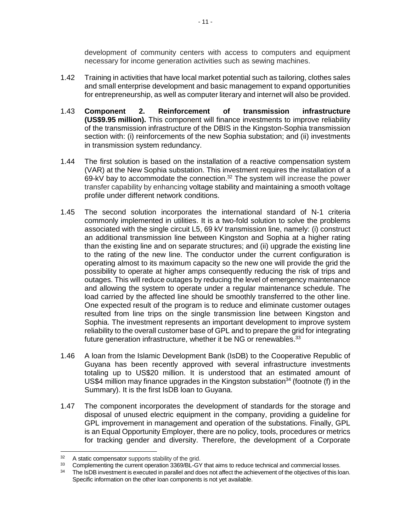development of community centers with access to computers and equipment necessary for income generation activities such as sewing machines.

- <span id="page-14-0"></span>1.42 Training in activities that have local market potential such as tailoring, clothes sales and small enterprise development and basic management to expand opportunities for entrepreneurship, as well as computer literary and internet will also be provided.
- 1.43 **Component 2. Reinforcement of transmission infrastructure (US\$9.95 million).** This component will finance investments to improve reliability of the transmission infrastructure of the DBIS in the Kingston-Sophia transmission section with: (i) reinforcements of the new Sophia substation; and (ii) investments in transmission system redundancy.
- 1.44 The first solution is based on the installation of a reactive compensation system (VAR) at the New Sophia substation. This investment requires the installation of a 69-kV bay to accommodate the connection.<sup>32</sup> The system will increase the power transfer capability by enhancing voltage stability and maintaining a smooth voltage profile under different network conditions.
- 1.45 The second solution incorporates the international standard of N-1 criteria commonly implemented in utilities. It is a two-fold solution to solve the problems associated with the single circuit L5, 69 kV transmission line, namely: (i) construct an additional transmission line between Kingston and Sophia at a higher rating than the existing line and on separate structures; and (ii) upgrade the existing line to the rating of the new line. The conductor under the current configuration is operating almost to its maximum capacity so the new one will provide the grid the possibility to operate at higher amps consequently reducing the risk of trips and outages. This will reduce outages by reducing the level of emergency maintenance and allowing the system to operate under a regular maintenance schedule. The load carried by the affected line should be smoothly transferred to the other line. One expected result of the program is to reduce and eliminate customer outages resulted from line trips on the single transmission line between Kingston and Sophia. The investment represents an important development to improve system reliability to the overall customer base of GPL and to prepare the grid for integrating future generation infrastructure, whether it be NG or renewables.<sup>33</sup>
- 1.46 A loan from the Islamic Development Bank (IsDB) to the Cooperative Republic of Guyana has been recently approved with several infrastructure investments totaling up to US\$20 million. It is understood that an estimated amount of US\$4 million may finance upgrades in the Kingston substation<sup>34</sup> (footnote (f) in the Summary). It is the first IsDB loan to Guyana.
- 1.47 The component incorporates the development of standards for the storage and disposal of unused electric equipment in the company, providing a guideline for GPL improvement in management and operation of the substations. Finally, GPL is an Equal Opportunity Employer, there are no policy, tools, procedures or metrics for tracking gender and diversity. Therefore, the development of a Corporate

 $32$  $32$  A static compensator supports stability of the grid.<br> $33$  Complementing the current operation 3369/BL-GY

<sup>&</sup>lt;sup>33</sup> Complementing the current operation 3369/BL-GY that aims to reduce technical and commercial losses.

The IsDB investment is executed in parallel and does not affect the achievement of the objectives of this loan. Specific information on the other loan components is not yet available.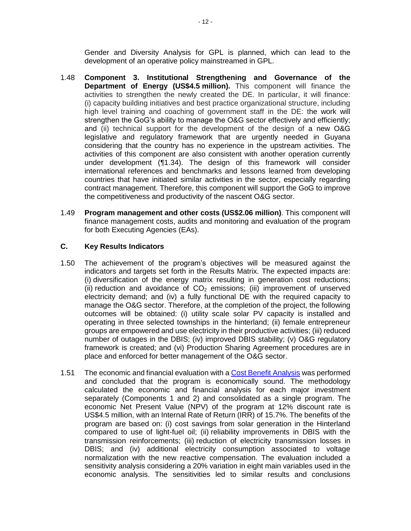Gender and Diversity Analysis for GPL is planned, which can lead to the development of an operative policy mainstreamed in GPL.

- <span id="page-15-0"></span>1.48 **Component 3. Institutional Strengthening and Governance of the Department of Energy (US\$4.5 million).** This component will finance the activities to strengthen the newly created the DE. In particular, it will finance: (i) capacity building initiatives and best practice organizational structure, including high level training and coaching of government staff in the DE: the work will strengthen the GoG's ability to manage the O&G sector effectively and efficiently; and (ii) technical support for the development of the design of a new O&G legislative and regulatory framework that are urgently needed in Guyana considering that the country has no experience in the upstream activities. The activities of this component are also consistent with another operation currently under development ([¶1.34\)](#page-11-0). The design of this framework will consider international references and benchmarks and lessons learned from developing countries that have initiated similar activities in the sector, especially regarding contract management. Therefore, this component will support the GoG to improve the competitiveness and productivity of the nascent O&G sector.
- 1.49 **Program management and other costs (US\$2.06 million)**. This component will finance management costs, audits and monitoring and evaluation of the program for both Executing Agencies (EAs).

#### **C. Key Results Indicators**

- 1.50 The achievement of the program's objectives will be measured against the indicators and targets set forth in the Results Matrix. The expected impacts are: (i) diversification of the energy matrix resulting in generation cost reductions; (ii) reduction and avoidance of  $CO<sub>2</sub>$  emissions; (iii) improvement of unserved electricity demand; and (iv) a fully functional DE with the required capacity to manage the O&G sector. Therefore, at the completion of the project, the following outcomes will be obtained: (i) utility scale solar PV capacity is installed and operating in three selected townships in the hinterland; (ii) female entrepreneur groups are empowered and use electricity in their productive activities; (iii) reduced number of outages in the DBIS; (iv) improved DBIS stability; (v) O&G regulatory framework is created; and (vi) Production Sharing Agreement procedures are in place and enforced for better management of the O&G sector.
- 1.51 The economic and financial evaluation with a [Cost Benefit Analysis](https://idbg.sharepoint.com/teams/EZ-GY-LON/GY-L1066/_layouts/15/DocIdRedir.aspx?ID=EZSHARE-669955382-29) was performed and concluded that the program is economically sound. The methodology calculated the economic and financial analysis for each major investment separately (Components 1 and 2) and consolidated as a single program. The economic Net Present Value (NPV) of the program at 12% discount rate is US\$4.5 million, with an Internal Rate of Return (IRR) of 15.7%. The benefits of the program are based on: (i) cost savings from solar generation in the Hinterland compared to use of light-fuel oil; (ii) reliability improvements in DBIS with the transmission reinforcements; (iii) reduction of electricity transmission losses in DBIS; and (iv) additional electricity consumption associated to voltage normalization with the new reactive compensation. The evaluation included a sensitivity analysis considering a 20% variation in eight main variables used in the economic analysis. The sensitivities led to similar results and conclusions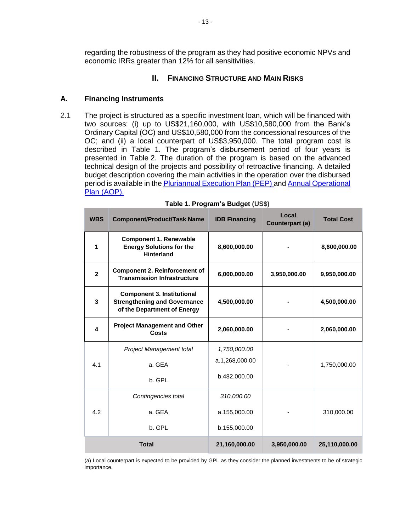regarding the robustness of the program as they had positive economic NPVs and economic IRRs greater than 12% for all sensitivities.

### **II. FINANCING STRUCTURE AND MAIN RISKS**

### **A. Financing Instruments**

2.1 The project is structured as a specific investment loan, which will be financed with two sources: (i) up to US\$21,160,000, with US\$10,580,000 from the Bank's Ordinary Capital (OC) and US\$10,580,000 from the concessional resources of the OC; and (ii) a local counterpart of US\$3,950,000. The total program cost is described in Table 1. The program's disbursement period of four years is presented in Table 2. The duration of the program is based on the advanced technical design of the projects and possibility of retroactive financing. A detailed budget description covering the main activities in the operation over the disbursed period is available in the [Pluriannual Execution Plan \(PEP\)](https://idbg.sharepoint.com/teams/EZ-GY-LON/GY-L1066/_layouts/15/DocIdRedir.aspx?ID=EZSHARE-669955382-42) an[d Annual Operational](https://idbg.sharepoint.com/teams/EZ-GY-LON/GY-L1066/_layouts/15/DocIdRedir.aspx?ID=EZSHARE-669955382-44)  [Plan \(AOP\).](https://idbg.sharepoint.com/teams/EZ-GY-LON/GY-L1066/_layouts/15/DocIdRedir.aspx?ID=EZSHARE-669955382-44)

| <b>WBS</b>     | <b>Component/Product/Task Name</b>                                                                      | <b>IDB Financing</b> | Local<br>Counterpart (a) | <b>Total Cost</b> |
|----------------|---------------------------------------------------------------------------------------------------------|----------------------|--------------------------|-------------------|
| 1              | <b>Component 1. Renewable</b><br><b>Energy Solutions for the</b><br><b>Hinterland</b>                   | 8,600,000.00         |                          | 8,600,000.00      |
| $\overline{2}$ | <b>Component 2. Reinforcement of</b><br><b>Transmission Infrastructure</b>                              | 6,000,000.00         | 3,950,000.00             | 9,950,000.00      |
| 3              | <b>Component 3. Institutional</b><br><b>Strengthening and Governance</b><br>of the Department of Energy | 4,500,000.00         |                          | 4,500,000.00      |
| 4              | <b>Project Management and Other</b><br>Costs                                                            | 2,060,000.00         | 2,060,000.00             |                   |
|                | Project Management total                                                                                | 1,750,000.00         |                          |                   |
| 4.1            | a. GEA                                                                                                  | a.1,268,000.00       |                          | 1,750,000.00      |
|                | b. GPL                                                                                                  | b.482,000.00         |                          |                   |
|                | Contingencies total                                                                                     | 310,000.00           |                          |                   |
| 4.2            | a. GEA                                                                                                  | a.155,000.00         |                          | 310,000.00        |
|                | b. GPL                                                                                                  | b.155,000.00         |                          |                   |
|                | <b>Total</b>                                                                                            | 21,160,000.00        | 3,950,000.00             | 25,110,000.00     |

| Table 1. Program's Budget (US\$) |  |  |  |  |
|----------------------------------|--|--|--|--|
|----------------------------------|--|--|--|--|

(a) Local counterpart is expected to be provided by GPL as they consider the planned investments to be of strategic importance.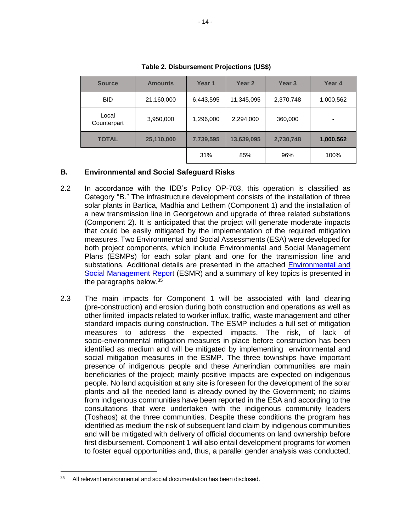| <b>Source</b>        | <b>Amounts</b> |           | Year 1<br>Year <sub>2</sub> |           | Year 4    |
|----------------------|----------------|-----------|-----------------------------|-----------|-----------|
| <b>BID</b>           | 21,160,000     | 6,443,595 | 11,345,095                  | 2,370,748 | 1,000,562 |
| Local<br>Counterpart | 3,950,000      | 1,296,000 | 2,294,000                   | 360,000   | ۰         |
| <b>TOTAL</b>         | 25,110,000     | 7,739,595 | 13,639,095                  | 2,730,748 | 1,000,562 |
|                      |                | 31%       | 85%                         | 96%       | 100%      |

**Table 2. Disbursement Projections (US\$)**

#### **B. Environmental and Social Safeguard Risks**

- 2.2 In accordance with the IDB's Policy OP-703, this operation is classified as Category "B." The infrastructure development consists of the installation of three solar plants in Bartica, Madhia and Lethem (Component 1) and the installation of a new transmission line in Georgetown and upgrade of three related substations (Component 2). It is anticipated that the project will generate moderate impacts that could be easily mitigated by the implementation of the required mitigation measures. Two Environmental and Social Assessments (ESA) were developed for both project components, which include Environmental and Social Management Plans (ESMPs) for each solar plant and one for the transmission line and substations. Additional details are presented in the attached [Environmental and](https://idbg.sharepoint.com/teams/EZ-GY-LON/GY-L1066/_layouts/15/DocIdRedir.aspx?ID=EZSHARE-669955382-38)  [Social Management Report](https://idbg.sharepoint.com/teams/EZ-GY-LON/GY-L1066/_layouts/15/DocIdRedir.aspx?ID=EZSHARE-669955382-38) (ESMR) and a summary of key topics is presented in the paragraphs below.<sup>35</sup>
- 2.3 The main impacts for Component 1 will be associated with land clearing (pre-construction) and erosion during both construction and operations as well as other limited impacts related to worker influx, traffic, waste management and other standard impacts during construction. The ESMP includes a full set of mitigation measures to address the expected impacts. The risk, of lack of socio-environmental mitigation measures in place before construction has been identified as medium and will be mitigated by implementing environmental and social mitigation measures in the ESMP. The three townships have important presence of indigenous people and these Amerindian communities are main beneficiaries of the project; mainly positive impacts are expected on indigenous people. No land acquisition at any site is foreseen for the development of the solar plants and all the needed land is already owned by the Government; no claims from indigenous communities have been reported in the ESA and according to the consultations that were undertaken with the indigenous community leaders (Toshaos) at the three communities. Despite these conditions the program has identified as medium the risk of subsequent land claim by indigenous communities and will be mitigated with delivery of official documents on land ownership before first disbursement. Component 1 will also entail development programs for women to foster equal opportunities and, thus, a parallel gender analysis was conducted;

All relevant environmental and social documentation has been disclosed.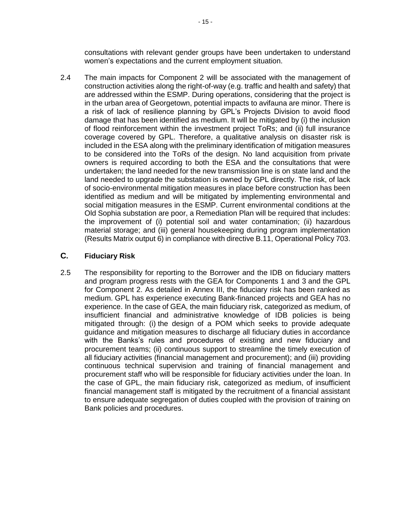consultations with relevant gender groups have been undertaken to understand women's expectations and the current employment situation.

2.4 The main impacts for Component 2 will be associated with the management of construction activities along the right-of-way (e.g. traffic and health and safety) that are addressed within the ESMP. During operations, considering that the project is in the urban area of Georgetown, potential impacts to avifauna are minor. There is a risk of lack of resilience planning by GPL's Projects Division to avoid flood damage that has been identified as medium. It will be mitigated by (i) the inclusion of flood reinforcement within the investment project ToRs; and (ii) full insurance coverage covered by GPL. Therefore, a qualitative analysis on disaster risk is included in the ESA along with the preliminary identification of mitigation measures to be considered into the ToRs of the design. No land acquisition from private owners is required according to both the ESA and the consultations that were undertaken; the land needed for the new transmission line is on state land and the land needed to upgrade the substation is owned by GPL directly. The risk, of lack of socio-environmental mitigation measures in place before construction has been identified as medium and will be mitigated by implementing environmental and social mitigation measures in the ESMP. Current environmental conditions at the Old Sophia substation are poor, a Remediation Plan will be required that includes: the improvement of (i) potential soil and water contamination; (ii) hazardous material storage; and (iii) general housekeeping during program implementation (Results Matrix output 6) in compliance with directive B.11, Operational Policy 703.

### **C. Fiduciary Risk**

<span id="page-18-0"></span>2.5 The responsibility for reporting to the Borrower and the IDB on fiduciary matters and program progress rests with the GEA for Components 1 and 3 and the GPL for Component 2. As detailed in Annex III, the fiduciary risk has been ranked as medium. GPL has experience executing Bank-financed projects and GEA has no experience. In the case of GEA, the main fiduciary risk, categorized as medium, of insufficient financial and administrative knowledge of IDB policies is being mitigated through: (i) the design of a POM which seeks to provide adequate guidance and mitigation measures to discharge all fiduciary duties in accordance with the Banks's rules and procedures of existing and new fiduciary and procurement teams; (ii) continuous support to streamline the timely execution of all fiduciary activities (financial management and procurement); and (iii) providing continuous technical supervision and training of financial management and procurement staff who will be responsible for fiduciary activities under the loan. In the case of GPL, the main fiduciary risk, categorized as medium, of insufficient financial management staff is mitigated by the recruitment of a financial assistant to ensure adequate segregation of duties coupled with the provision of training on Bank policies and procedures.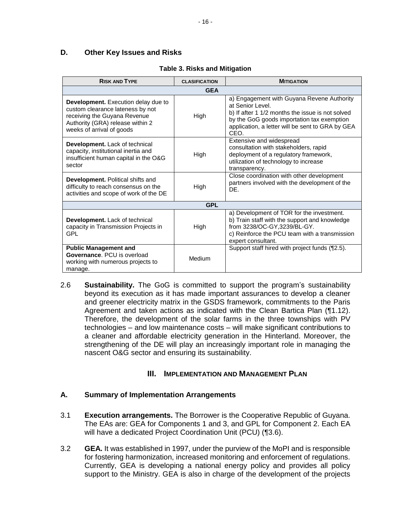# **D. Other Key Issues and Risks**

| <b>RISK AND TYPE</b>                                                                                                                                                            | <b>CLASIFICATION</b> | <b>MITIGATION</b>                                                                                                                                                                                                            |
|---------------------------------------------------------------------------------------------------------------------------------------------------------------------------------|----------------------|------------------------------------------------------------------------------------------------------------------------------------------------------------------------------------------------------------------------------|
|                                                                                                                                                                                 | <b>GEA</b>           |                                                                                                                                                                                                                              |
| <b>Development.</b> Execution delay due to<br>custom clearance lateness by not<br>receiving the Guyana Revenue<br>Authority (GRA) release within 2<br>weeks of arrival of goods | High                 | a) Engagement with Guyana Revene Authority<br>at Senior Level.<br>b) If after 1 1/2 months the issue is not solved<br>by the GoG goods importation tax exemption<br>application, a letter will be sent to GRA by GEA<br>CEO. |
| Development. Lack of technical<br>capacity, institutional inertia and<br>insufficient human capital in the O&G<br>sector                                                        | High                 | Extensive and widespread<br>consultation with stakeholders, rapid<br>deployment of a regulatory framework,<br>utilization of technology to increase<br>transparency.                                                         |
| <b>Development.</b> Political shifts and<br>difficulty to reach consensus on the<br>activities and scope of work of the DE                                                      | High                 | Close coordination with other development<br>partners involved with the development of the<br>DE.                                                                                                                            |
|                                                                                                                                                                                 | <b>GPL</b>           |                                                                                                                                                                                                                              |
| Development. Lack of technical<br>capacity in Transmission Projects in<br>GPL                                                                                                   | High                 | a) Development of TOR for the investment.<br>b) Train staff with the support and knowledge<br>from 3238/OC-GY, 3239/BL-GY.<br>c) Reinforce the PCU team with a transmission<br>expert consultant.                            |
| <b>Public Management and</b><br>Governance, PCU is overload<br>working with numerous projects to<br>manage.                                                                     | Medium               | Support staff hired with project funds (¶2.5).                                                                                                                                                                               |

### **Table 3. Risks and Mitigation**

2.6 **Sustainability.** The GoG is committed to support the program's sustainability beyond its execution as it has made important assurances to develop a cleaner and greener electricity matrix in the GSDS framework, commitments to the Paris Agreement and taken actions as indicated with the Clean Bartica Plan ([¶1.12\)](#page-6-0). Therefore, the development of the solar farms in the three townships with PV technologies – and low maintenance costs – will make significant contributions to a cleaner and affordable electricity generation in the Hinterland. Moreover, the strengthening of the DE will play an increasingly important role in managing the nascent O&G sector and ensuring its sustainability.

# **III. IMPLEMENTATION AND MANAGEMENT PLAN**

### **A. Summary of Implementation Arrangements**

- 3.1 **Execution arrangements.** The Borrower is the Cooperative Republic of Guyana. The EAs are: GEA for Components 1 and 3, and GPL for Component 2. Each EA will have a dedicated Project Coordination Unit (PCU) ([¶3.6\)](#page-20-1).
- 3.2 **GEA.** It was established in 1997, under the purview of the MoPI and is responsible for fostering harmonization, increased monitoring and enforcement of regulations. Currently, GEA is developing a national energy policy and provides all policy support to the Ministry. GEA is also in charge of the development of the projects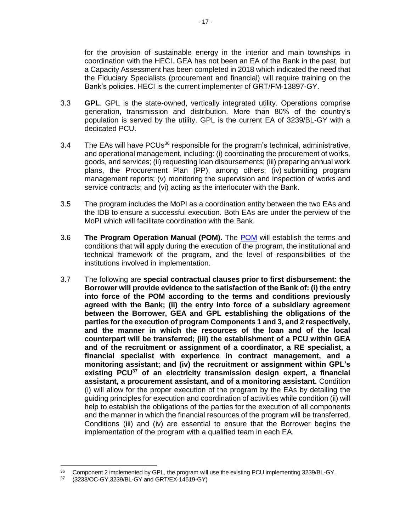for the provision of sustainable energy in the interior and main townships in coordination with the HECI. GEA has not been an EA of the Bank in the past, but a Capacity Assessment has been completed in 2018 which indicated the need that the Fiduciary Specialists (procurement and financial) will require training on the Bank's policies. HECI is the current implementer of GRT/FM-13897-GY.

- 3.3 **GPL**. GPL is the state-owned, vertically integrated utility. Operations comprise generation, transmission and distribution. More than 80% of the country's population is served by the utility. GPL is the current EA of 3239/BL-GY with a dedicated PCU.
- 3.4 The EAs will have PCUs<sup>36</sup> responsible for the program's technical, administrative, and operational management, including: (i) coordinating the procurement of works, goods, and services; (ii) requesting loan disbursements; (iii) preparing annual work plans, the Procurement Plan (PP), among others; (iv) submitting program management reports; (v) monitoring the supervision and inspection of works and service contracts; and (vi) acting as the interlocuter with the Bank.
- 3.5 The program includes the MoPI as a coordination entity between the two EAs and the IDB to ensure a successful execution. Both EAs are under the perview of the MoPI which will facilitate coordination with the Bank.
- <span id="page-20-1"></span>3.6 **The Program Operation Manual (POM).** The [POM](https://idbg.sharepoint.com/teams/EZ-GY-LON/GY-L1066/_layouts/15/DocIdRedir.aspx?ID=EZSHARE-669955382-31) will establish the terms and conditions that will apply during the execution of the program, the institutional and technical framework of the program, and the level of responsibilities of the institutions involved in implementation.
- <span id="page-20-0"></span>3.7 The following are **special contractual clauses prior to first disbursement: the Borrower will provide evidence to the satisfaction of the Bank of: (i) the entry into force of the POM according to the terms and conditions previously agreed with the Bank; (ii) the entry into force of a subsidiary agreement between the Borrower, GEA and GPL establishing the obligations of the parties for the execution of program Components 1 and 3, and 2 respectively, and the manner in which the resources of the loan and of the local counterpart will be transferred; (iii) the establishment of a PCU within GEA and of the recruitment or assignment of a coordinator, a RE specialist, a financial specialist with experience in contract management, and a monitoring assistant; and (iv) the recruitment or assignment within GPL's existing PCU<sup>37</sup> of an electricity transmission design expert, a financial assistant, a procurement assistant, and of a monitoring assistant.** Condition (i) will allow for the proper execution of the program by the EAs by detailing the guiding principles for execution and coordination of activities while condition (ii) will help to establish the obligations of the parties for the execution of all components and the manner in which the financial resources of the program will be transferred. Conditions (iii) and (iv) are essential to ensure that the Borrower begins the implementation of the program with a qualified team in each EA.

<sup>&</sup>lt;sup>36</sup> Component 2 implemented by GPL, the program will use the existing PCU implementing 3239/BL-GY.<br>37 (3238/OC-GV 3239/BL-GV and GBT/EX-14519-GV)

<sup>37</sup> (3238/OC-GY,3239/BL-GY and GRT/EX-14519-GY)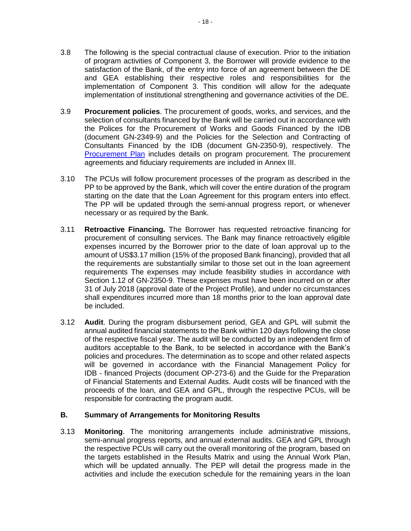- 3.8 The following is the special contractual clause of execution. Prior to the initiation of program activities of Component 3, the Borrower will provide evidence to the satisfaction of the Bank, of the entry into force of an agreement between the DE and GEA establishing their respective roles and responsibilities for the implementation of Component 3. This condition will allow for the adequate implementation of institutional strengthening and governance activities of the DE.
- 3.9 **Procurement policies**. The procurement of goods, works, and services, and the selection of consultants financed by the Bank will be carried out in accordance with the Polices for the Procurement of Works and Goods Financed by the IDB (document GN-2349-9) and the Policies for the Selection and Contracting of Consultants Financed by the IDB (document GN-2350-9), respectively. The [Procurement Plan](https://idbg.sharepoint.com/teams/EZ-GY-LON/GY-L1066/_layouts/15/DocIdRedir.aspx?ID=EZSHARE-669955382-39) includes details on program procurement. The procurement agreements and fiduciary requirements are included in Annex III.
- 3.10 The PCUs will follow procurement processes of the program as described in the PP to be approved by the Bank, which will cover the entire duration of the program starting on the date that the Loan Agreement for this program enters into effect. The PP will be updated through the semi-annual progress report, or whenever necessary or as required by the Bank.
- 3.11 **Retroactive Financing.** The Borrower has requested retroactive financing for procurement of consulting services. The Bank may finance retroactively eligible expenses incurred by the Borrower prior to the date of loan approval up to the amount of US\$3.17 million (15% of the proposed Bank financing), provided that all the requirements are substantially similar to those set out in the loan agreement requirements The expenses may include feasibility studies in accordance with Section 1.12 of GN-2350-9. These expenses must have been incurred on or after 31 of July 2018 (approval date of the Project Profile), and under no circumstances shall expenditures incurred more than 18 months prior to the loan approval date be included.
- 3.12 **Audit**. During the program disbursement period, GEA and GPL will submit the annual audited financial statements to the Bank within 120 days following the close of the respective fiscal year. The audit will be conducted by an independent firm of auditors acceptable to the Bank, to be selected in accordance with the Bank's policies and procedures. The determination as to scope and other related aspects will be governed in accordance with the Financial Management Policy for IDB - financed Projects (document OP-273-6) and the Guide for the Preparation of Financial Statements and External Audits. Audit costs will be financed with the proceeds of the loan, and GEA and GPL, through the respective PCUs, will be responsible for contracting the program audit.

### **B. Summary of Arrangements for Monitoring Results**

3.13 **Monitoring**. The monitoring arrangements include administrative missions, semi-annual progress reports, and annual external audits. GEA and GPL through the respective PCUs will carry out the overall monitoring of the program, based on the targets established in the Results Matrix and using the Annual Work Plan, which will be updated annually. The PEP will detail the progress made in the activities and include the execution schedule for the remaining years in the loan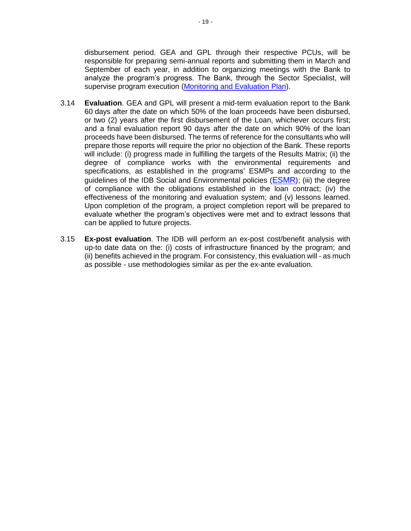disbursement period. GEA and GPL through their respective PCUs, will be responsible for preparing semi-annual reports and submitting them in March and September of each year, in addition to organizing meetings with the Bank to analyze the program's progress. The Bank, through the Sector Specialist, will supervise program execution [\(Monitoring and Evaluation Plan\)](https://idbg.sharepoint.com/teams/EZ-GY-LON/GY-L1066/_layouts/15/DocIdRedir.aspx?ID=EZSHARE-669955382-37).

- 3.14 **Evaluation**. GEA and GPL will present a mid-term evaluation report to the Bank 60 days after the date on which 50% of the loan proceeds have been disbursed, or two (2) years after the first disbursement of the Loan, whichever occurs first; and a final evaluation report 90 days after the date on which 90% of the loan proceeds have been disbursed. The terms of reference for the consultants who will prepare those reports will require the prior no objection of the Bank. These reports will include: (i) progress made in fulfilling the targets of the Results Matrix; (ii) the degree of compliance works with the environmental requirements and specifications, as established in the programs' ESMPs and according to the guidelines of the IDB Social and Environmental policies ([ESMR](https://idbg.sharepoint.com/teams/EZ-GY-LON/GY-L1066/_layouts/15/DocIdRedir.aspx?ID=EZSHARE-669955382-38)); (iii) the degree of compliance with the obligations established in the loan contract; (iv) the effectiveness of the monitoring and evaluation system; and (v) lessons learned. Upon completion of the program, a project completion report will be prepared to evaluate whether the program's objectives were met and to extract lessons that can be applied to future projects.
- 3.15 **Ex-post evaluation**. The IDB will perform an ex-post cost/benefit analysis with up-to date data on the: (i) costs of infrastructure financed by the program; and (ii) benefits achieved in the program. For consistency, this evaluation will - as much as possible - use methodologies similar as per the ex-ante evaluation.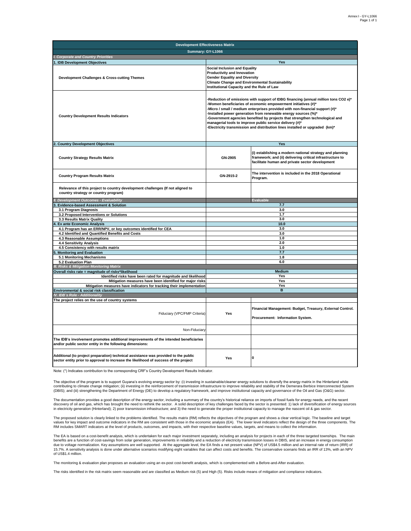| <b>Development Effectiveness Matrix</b>                                                                                                                                     |                                                                                                                                                                                                                                                                                                                                                                                                                                                                                                                                    |                                                                                                                                                                          |  |  |
|-----------------------------------------------------------------------------------------------------------------------------------------------------------------------------|------------------------------------------------------------------------------------------------------------------------------------------------------------------------------------------------------------------------------------------------------------------------------------------------------------------------------------------------------------------------------------------------------------------------------------------------------------------------------------------------------------------------------------|--------------------------------------------------------------------------------------------------------------------------------------------------------------------------|--|--|
| Summary: GY-L1066                                                                                                                                                           |                                                                                                                                                                                                                                                                                                                                                                                                                                                                                                                                    |                                                                                                                                                                          |  |  |
| <b>Corporate and Country Priorities</b>                                                                                                                                     |                                                                                                                                                                                                                                                                                                                                                                                                                                                                                                                                    |                                                                                                                                                                          |  |  |
| I. IDB Development Objectives                                                                                                                                               | Yes                                                                                                                                                                                                                                                                                                                                                                                                                                                                                                                                |                                                                                                                                                                          |  |  |
| Development Challenges & Cross-cutting Themes                                                                                                                               | <b>Social Inclusion and Equality</b><br>Productivity and Innovation<br><b>Gender Equality and Diversity</b><br><b>Climate Change and Environmental Sustainability</b><br>Institutional Capacity and the Rule of Law                                                                                                                                                                                                                                                                                                                |                                                                                                                                                                          |  |  |
| <b>Country Development Results Indicators</b>                                                                                                                               | -Reduction of emissions with support of IDBG financing (annual million tons CO2 e)*<br>-Women beneficiaries of economic empowerment initiatives (#)*<br>-Micro / small / medium enterprises provided with non-financial support (#)*<br>-Installed power generation from renewable energy sources (%)*<br>-Government agencies benefited by projects that strengthen technological and<br>managerial tools to improve public service delivery (#)*<br>-Electricity transmission and distribution lines installed or upgraded (km)* |                                                                                                                                                                          |  |  |
| 2. Country Development Objectives                                                                                                                                           |                                                                                                                                                                                                                                                                                                                                                                                                                                                                                                                                    | Yes                                                                                                                                                                      |  |  |
| <b>Country Strategy Results Matrix</b>                                                                                                                                      | GN-2905                                                                                                                                                                                                                                                                                                                                                                                                                                                                                                                            | (i) establishing a modern national strategy and planning<br>framework; and (ii) delivering critical infrastructure to<br>facilitate human and private sector development |  |  |
| <b>Country Program Results Matrix</b>                                                                                                                                       | GN-2915-2                                                                                                                                                                                                                                                                                                                                                                                                                                                                                                                          | The intervention is included in the 2018 Operational<br>Program.                                                                                                         |  |  |
| Relevance of this project to country development challenges (If not aligned to<br>country strategy or country program)                                                      |                                                                                                                                                                                                                                                                                                                                                                                                                                                                                                                                    |                                                                                                                                                                          |  |  |
| I. Development Outcomes - Evaluability                                                                                                                                      |                                                                                                                                                                                                                                                                                                                                                                                                                                                                                                                                    | <b>Evaluable</b>                                                                                                                                                         |  |  |
| <b>Evidence-based Assessment &amp; Solution</b>                                                                                                                             |                                                                                                                                                                                                                                                                                                                                                                                                                                                                                                                                    | 7.7                                                                                                                                                                      |  |  |
| 3.1 Program Diagnosis                                                                                                                                                       |                                                                                                                                                                                                                                                                                                                                                                                                                                                                                                                                    | 3.0                                                                                                                                                                      |  |  |
| 3.2 Proposed Interventions or Solutions<br>3.3 Results Matrix Quality                                                                                                       |                                                                                                                                                                                                                                                                                                                                                                                                                                                                                                                                    | 1.7<br>3.0                                                                                                                                                               |  |  |
| <b>Ex ante Economic Analysis</b>                                                                                                                                            |                                                                                                                                                                                                                                                                                                                                                                                                                                                                                                                                    | 10.0                                                                                                                                                                     |  |  |
| 4.1 Program has an ERR/NPV, or key outcomes identified for CEA                                                                                                              |                                                                                                                                                                                                                                                                                                                                                                                                                                                                                                                                    | 3.0                                                                                                                                                                      |  |  |
| 4.2 Identified and Quantified Benefits and Costs                                                                                                                            |                                                                                                                                                                                                                                                                                                                                                                                                                                                                                                                                    | 3.0                                                                                                                                                                      |  |  |
| 4.3 Reasonable Assumptions                                                                                                                                                  |                                                                                                                                                                                                                                                                                                                                                                                                                                                                                                                                    | 1.0                                                                                                                                                                      |  |  |
| 4.4 Sensitivity Analysis                                                                                                                                                    |                                                                                                                                                                                                                                                                                                                                                                                                                                                                                                                                    | 2.0                                                                                                                                                                      |  |  |
| 4.5 Consistency with results matrix                                                                                                                                         |                                                                                                                                                                                                                                                                                                                                                                                                                                                                                                                                    | 1.0                                                                                                                                                                      |  |  |
| <b>Monitoring and Evaluation</b><br>5.1 Monitoring Mechanisms                                                                                                               |                                                                                                                                                                                                                                                                                                                                                                                                                                                                                                                                    | 7.7<br>1.8                                                                                                                                                               |  |  |
| 5.2 Evaluation Plan                                                                                                                                                         |                                                                                                                                                                                                                                                                                                                                                                                                                                                                                                                                    | 6.0                                                                                                                                                                      |  |  |
| III. Risks & Mitigation Monitoring Matrix                                                                                                                                   |                                                                                                                                                                                                                                                                                                                                                                                                                                                                                                                                    |                                                                                                                                                                          |  |  |
| Overall risks rate = magnitude of risks*likelihood                                                                                                                          |                                                                                                                                                                                                                                                                                                                                                                                                                                                                                                                                    | <b>Medium</b>                                                                                                                                                            |  |  |
| Identified risks have been rated for magnitude and likelihood                                                                                                               | Yes                                                                                                                                                                                                                                                                                                                                                                                                                                                                                                                                |                                                                                                                                                                          |  |  |
| Mitigation measures have been identified for major risks                                                                                                                    | Yes                                                                                                                                                                                                                                                                                                                                                                                                                                                                                                                                |                                                                                                                                                                          |  |  |
| Mitigation measures have indicators for tracking their implementation<br>Environmental & social risk classification                                                         |                                                                                                                                                                                                                                                                                                                                                                                                                                                                                                                                    | Yes<br>$\overline{B}$                                                                                                                                                    |  |  |
| IV. IDB's Role - Additionality                                                                                                                                              |                                                                                                                                                                                                                                                                                                                                                                                                                                                                                                                                    |                                                                                                                                                                          |  |  |
| The project relies on the use of country systems                                                                                                                            |                                                                                                                                                                                                                                                                                                                                                                                                                                                                                                                                    |                                                                                                                                                                          |  |  |
|                                                                                                                                                                             |                                                                                                                                                                                                                                                                                                                                                                                                                                                                                                                                    |                                                                                                                                                                          |  |  |
| Fiduciary (VPC/FMP Criteria)                                                                                                                                                | Yes                                                                                                                                                                                                                                                                                                                                                                                                                                                                                                                                | Financial Management: Budget, Treasury, External Control.                                                                                                                |  |  |
|                                                                                                                                                                             |                                                                                                                                                                                                                                                                                                                                                                                                                                                                                                                                    | Procurement: Information System.                                                                                                                                         |  |  |
| Non-Fiduciary                                                                                                                                                               |                                                                                                                                                                                                                                                                                                                                                                                                                                                                                                                                    |                                                                                                                                                                          |  |  |
| The IDB's involvement promotes additional improvements of the intended beneficiaries<br>and/or public sector entity in the following dimensions:                            |                                                                                                                                                                                                                                                                                                                                                                                                                                                                                                                                    |                                                                                                                                                                          |  |  |
| Additional (to project preparation) technical assistance was provided to the public<br>sector entity prior to approval to increase the likelihood of success of the project | Yes                                                                                                                                                                                                                                                                                                                                                                                                                                                                                                                                | I٥                                                                                                                                                                       |  |  |

Note: (\*) Indicates contribution to the corresponding CRF's Country Development Results Indicator.

The objective of the program is to support Guyana's evolving energy sector by: (i) investing in sustainable/cleaner energy solutions to diversify the energy matrix in the Hinterland while<br>contributing to climate change mit (DBIS); and (iii) strengthening the Department of Energy (DE) to develop a regulatory framework, and improve institutional capacity and governance of the Oil and Gas (O&G) sector.

The documentation provides a good description of the energy sector, including a summary of the country's historical reliance on imports of fossil fuels for energy needs, and the recent discovery of oil and gas, which has brought the need to rethink the sector. A solid description of key challenges faced by the sector is presented: 1) lack of diversification of energy sources<br>in electricity generation (Hi

The proposed solution is clearly linked to the problems identified. The results matrix (RM) reflects the objectives of the program and shows a clear vertical logic. The baseline and target values for key impact and outcome indicators in the RM are consistent with those in the economic analysis (EA). The lower level indicators reflect the design of the three components. The<br>RM includes SMART indicators at the

The EA is based on a cost-benefit analysis, which is undertaken for each major investment separately, including an analysis for projects in each of the three targeted townships. The main benefits are a function of cost-savings from solar generation, improvements in reliability and a reduction of electricity transmission losses in DBIS, and an increase in energy consumption<br>due to voltage normalization. Key 15.7%. A sensitivity analysis is done under alternative scenarios modifying eight variables that can affect costs and benefits. The conservative scenario finds an IRR of 13%, with an NPV of US\$1.4 million.

The monitoring & evaluation plan proposes an evaluation using an ex-post cost-benefit analysis, which is complemented with a Before-and-After evaluation.

The risks identified in the risk matrix seem reasonable and are classified as Medium risk (5) and High (5). Risks include means of mitigation and compliance indicators.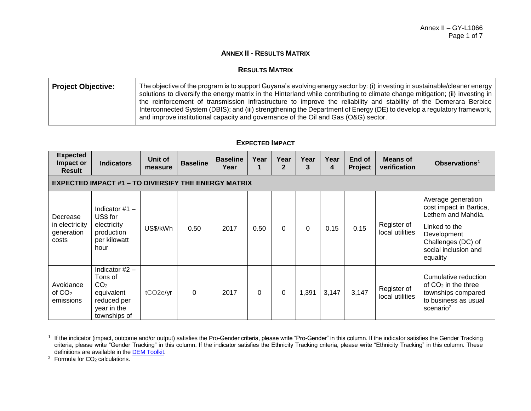# **ANNEX II - RESULTS MATRIX**

#### **RESULTS MATRIX**

| Project Objective: | The objective of the program is to support Guyana's evolving energy sector by: (i) investing in sustainable/cleaner energy<br>solutions to diversify the energy matrix in the Hinterland while contributing to climate change mitigation; (ii) investing in<br>the reinforcement of transmission infrastructure to improve the reliability and stability of the Demerara Berbice<br>Interconnected System (DBIS); and (iii) strengthening the Department of Energy (DE) to develop a regulatory framework,<br>and improve institutional capacity and governance of the Oil and Gas (O&G) sector. |
|--------------------|--------------------------------------------------------------------------------------------------------------------------------------------------------------------------------------------------------------------------------------------------------------------------------------------------------------------------------------------------------------------------------------------------------------------------------------------------------------------------------------------------------------------------------------------------------------------------------------------------|
|                    |                                                                                                                                                                                                                                                                                                                                                                                                                                                                                                                                                                                                  |

### **EXPECTED IMPACT**

| <b>Expected</b><br>Impact or<br><b>Result</b>              | <b>Indicators</b>                                                                                          | Unit of<br>measure    | <b>Baseline</b> | <b>Baseline</b><br>Year | Year     | Year<br>2   | Year<br>3 | Year<br>4 | End of<br><b>Project</b> | Means of<br>verification       | Observations <sup>1</sup>                                                                                                                                     |
|------------------------------------------------------------|------------------------------------------------------------------------------------------------------------|-----------------------|-----------------|-------------------------|----------|-------------|-----------|-----------|--------------------------|--------------------------------|---------------------------------------------------------------------------------------------------------------------------------------------------------------|
| <b>EXPECTED IMPACT #1 - TO DIVERSIFY THE ENERGY MATRIX</b> |                                                                                                            |                       |                 |                         |          |             |           |           |                          |                                |                                                                                                                                                               |
| Decrease<br>in electricity<br>generation<br>costs          | Indicator $#1 -$<br>US\$ for<br>electricity<br>production<br>per kilowatt<br>hour                          | US\$/kWh              | 0.50            | 2017                    | 0.50     | $\Omega$    | 0         | 0.15      | 0.15                     | Register of<br>local utilities | Average generation<br>cost impact in Bartica,<br>Lethem and Mahdia.<br>Linked to the<br>Development<br>Challenges (DC) of<br>social inclusion and<br>equality |
| Avoidance<br>of $CO2$<br>emissions                         | Indicator $#2 -$<br>Tons of<br>CO <sub>2</sub><br>equivalent<br>reduced per<br>year in the<br>townships of | tCO <sub>2e</sub> /yr | 0               | 2017                    | $\Omega$ | $\mathbf 0$ | 1,391     | 3,147     | 3,147                    | Register of<br>local utilities | Cumulative reduction<br>of $CO2$ in the three<br>townships compared<br>to business as usual<br>scenario <sup>2</sup>                                          |

<sup>&</sup>lt;sup>1</sup> If the indicator (impact, outcome and/or output) satisfies the Pro-Gender criteria, please write "Pro-Gender" in this column. If the indicator satisfies the Gender Tracking criteria, please write "Gender Tracking" in this column. If the indicator satisfies the Ethnicity Tracking criteria, please write "Ethnicity Tracking" in this column. These definitions are available in the **DEM Toolkit**.

 $2$  Formula for  $CO<sub>2</sub>$  calculations.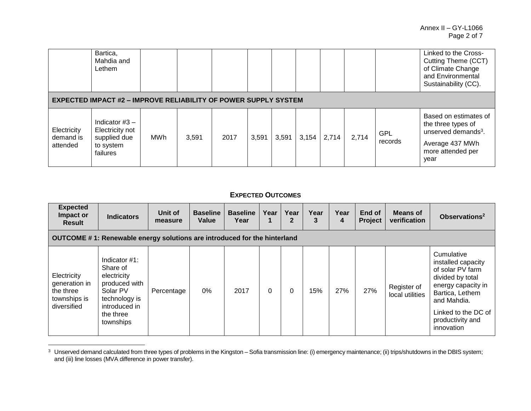|                                      | Bartica,<br>Mahdia and<br>Lethem                                             |            |       |      |       |       |       |       |       |                       | Linked to the Cross-<br>Cutting Theme (CCT)<br>of Climate Change<br>and Environmental<br>Sustainability (CC).                  |  |
|--------------------------------------|------------------------------------------------------------------------------|------------|-------|------|-------|-------|-------|-------|-------|-----------------------|--------------------------------------------------------------------------------------------------------------------------------|--|
|                                      | <b>EXPECTED IMPACT #2 - IMPROVE RELIABILITY OF POWER SUPPLY SYSTEM</b>       |            |       |      |       |       |       |       |       |                       |                                                                                                                                |  |
| Electricity<br>demand is<br>attended | Indicator $#3 -$<br>Electricity not<br>supplied due<br>to system<br>failures | <b>MWh</b> | 3,591 | 2017 | 3,591 | 3,591 | 3,154 | 2,714 | 2,714 | <b>GPL</b><br>records | Based on estimates of<br>the three types of<br>unserved demands <sup>3</sup> .<br>Average 437 MWh<br>more attended per<br>year |  |

# **EXPECTED OUTCOMES**

| <b>Expected</b><br>Impact or<br><b>Result</b>                            | <b>Indicators</b>                                                                                                                    | Unit of<br>measure | <b>Baseline</b><br>Value | <b>Baseline</b><br>Year | Year | Year<br>$\mathbf{2}$ | Year<br>3 | Year<br>4 | End of<br><b>Project</b> | <b>Means of</b><br>verification | Observations <sup>2</sup>                                                                                                                                                                 |  |
|--------------------------------------------------------------------------|--------------------------------------------------------------------------------------------------------------------------------------|--------------------|--------------------------|-------------------------|------|----------------------|-----------|-----------|--------------------------|---------------------------------|-------------------------------------------------------------------------------------------------------------------------------------------------------------------------------------------|--|
|                                                                          | OUTCOME #1: Renewable energy solutions are introduced for the hinterland                                                             |                    |                          |                         |      |                      |           |           |                          |                                 |                                                                                                                                                                                           |  |
| Electricity<br>generation in<br>the three<br>townships is<br>diversified | Indicator $#1$ :<br>Share of<br>electricity<br>produced with<br>Solar PV<br>technology is<br>introduced in<br>the three<br>townships | Percentage         | $0\%$                    | 2017                    | 0    |                      | 15%       | 27%       | 27%                      | Register of<br>local utilities  | Cumulative<br>installed capacity<br>of solar PV farm<br>divided by total<br>energy capacity in<br>Bartica, Lethem<br>and Mahdia.<br>Linked to the DC of<br>productivity and<br>innovation |  |

 $3$  Unserved demand calculated from three types of problems in the Kingston – Sofia transmission line: (i) emergency maintenance; (ii) trips/shutdowns in the DBIS system; and (iii) line losses (MVA difference in power transfer).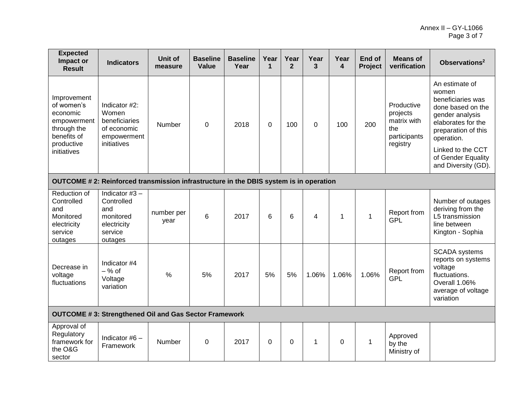| <b>Expected</b><br>Impact or<br><b>Result</b>                                                                   | <b>Indicators</b>                                                                       | Unit of<br>measure | <b>Baseline</b><br>Value | <b>Baseline</b><br>Year | Year<br>1 | Year<br>$\overline{2}$ | Year<br>$\mathbf{3}$ | Year<br>4   | End of<br>Project | <b>Means of</b><br>verification                                          | Observations <sup>2</sup>                                                                                                                                                                                         |  |
|-----------------------------------------------------------------------------------------------------------------|-----------------------------------------------------------------------------------------|--------------------|--------------------------|-------------------------|-----------|------------------------|----------------------|-------------|-------------------|--------------------------------------------------------------------------|-------------------------------------------------------------------------------------------------------------------------------------------------------------------------------------------------------------------|--|
| Improvement<br>of women's<br>economic<br>empowerment<br>through the<br>benefits of<br>productive<br>initiatives | Indicator #2:<br>Women<br>beneficiaries<br>of economic<br>empowerment<br>initiatives    | Number             | $\overline{0}$           | 2018                    | 0         | 100                    | $\Omega$             | 100         | 200               | Productive<br>projects<br>matrix with<br>the<br>participants<br>registry | An estimate of<br>women<br>beneficiaries was<br>done based on the<br>gender analysis<br>elaborates for the<br>preparation of this<br>operation.<br>Linked to the CCT<br>of Gender Equality<br>and Diversity (GD). |  |
| OUTCOME # 2: Reinforced transmission infrastructure in the DBIS system is in operation                          |                                                                                         |                    |                          |                         |           |                        |                      |             |                   |                                                                          |                                                                                                                                                                                                                   |  |
| Reduction of<br>Controlled<br>and<br>Monitored<br>electricity<br>service<br>outages                             | Indicator $#3 -$<br>Controlled<br>and<br>monitored<br>electricity<br>service<br>outages | number per<br>year | 6                        | 2017                    | 6         | 6                      | 4                    | 1           | 1                 | Report from<br><b>GPL</b>                                                | Number of outages<br>deriving from the<br>L5 transmission<br>line between<br>Kington - Sophia                                                                                                                     |  |
| Decrease in<br>voltage<br>fluctuations                                                                          | Indicator #4<br>$-$ % of<br>Voltage<br>variation                                        | $\frac{0}{0}$      | 5%                       | 2017                    | 5%        | 5%                     | 1.06%                | 1.06%       | 1.06%             | Report from<br>GPL                                                       | <b>SCADA</b> systems<br>reports on systems<br>voltage<br>fluctuations.<br>Overall 1.06%<br>average of voltage<br>variation                                                                                        |  |
|                                                                                                                 | <b>OUTCOME #3: Strengthened Oil and Gas Sector Framework</b>                            |                    |                          |                         |           |                        |                      |             |                   |                                                                          |                                                                                                                                                                                                                   |  |
| Approval of<br>Regulatory<br>framework for<br>the O&G<br>sector                                                 | Indicator #6 -<br>Framework                                                             | Number             | $\mathbf 0$              | 2017                    | $\Omega$  | $\mathbf 0$            | $\mathbf 1$          | $\mathbf 0$ | 1                 | Approved<br>by the<br>Ministry of                                        |                                                                                                                                                                                                                   |  |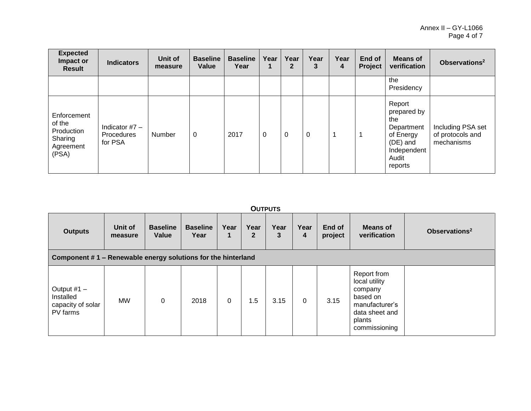| <b>Expected</b><br>Impact or<br><b>Result</b>                        | <b>Indicators</b>                         | Unit of<br>measure | <b>Baseline</b><br>Value | <b>Baseline</b><br>Year | Year        | Year<br>$\mathbf{2}$ | Year<br>3   | Year<br>4 | End of<br>Project | <b>Means of</b><br>verification                                                                        | Observations <sup>2</sup>                           |
|----------------------------------------------------------------------|-------------------------------------------|--------------------|--------------------------|-------------------------|-------------|----------------------|-------------|-----------|-------------------|--------------------------------------------------------------------------------------------------------|-----------------------------------------------------|
|                                                                      |                                           |                    |                          |                         |             |                      |             |           |                   | the<br>Presidency                                                                                      |                                                     |
| Enforcement<br>of the<br>Production<br>Sharing<br>Agreement<br>(PSA) | Indicator $#7 -$<br>Procedures<br>for PSA | Number             | 0                        | 2017                    | $\mathbf 0$ | 0                    | $\mathbf 0$ |           | 1                 | Report<br>prepared by<br>the<br>Department<br>of Energy<br>(DE) and<br>Independent<br>Audit<br>reports | Including PSA set<br>of protocols and<br>mechanisms |

#### **OUTPUTS**

| <b>Outputs</b>                                               | Unit of<br>measure | <b>Baseline</b><br>Value | <b>Baseline</b><br>Year | Year<br>1   | Year<br>$\mathbf{2}$ | Year<br>3 | Year<br>4 | End of<br>project | <b>Means of</b><br>verification                                                                                    | Observations <sup>2</sup> |
|--------------------------------------------------------------|--------------------|--------------------------|-------------------------|-------------|----------------------|-----------|-----------|-------------------|--------------------------------------------------------------------------------------------------------------------|---------------------------|
| Component #1 - Renewable energy solutions for the hinterland |                    |                          |                         |             |                      |           |           |                   |                                                                                                                    |                           |
| Output $#1 -$<br>Installed<br>capacity of solar<br>PV farms  | <b>MW</b>          | $\Omega$                 | 2018                    | $\mathbf 0$ | 1.5                  | 3.15      | 0         | 3.15              | Report from<br>local utility<br>company<br>based on<br>manufacturer's<br>data sheet and<br>plants<br>commissioning |                           |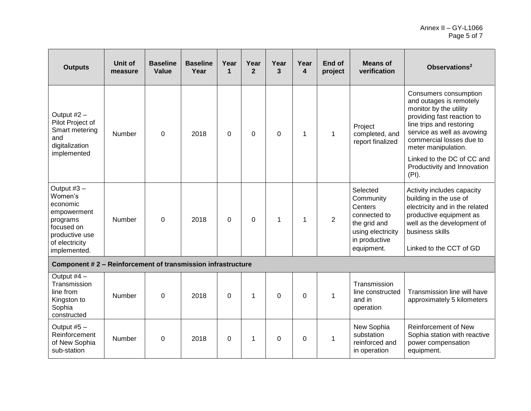| <b>Outputs</b>                                                                                                                    | <b>Unit of</b><br>measure | <b>Baseline</b><br>Value | <b>Baseline</b><br>Year | Year<br>$\mathbf 1$ | Year<br>$\mathbf{2}$ | Year<br>3   | Year<br>4 | End of<br>project | <b>Means of</b><br>verification                                                                                      | Observations <sup>2</sup>                                                                                                                                                                                                                                                                   |
|-----------------------------------------------------------------------------------------------------------------------------------|---------------------------|--------------------------|-------------------------|---------------------|----------------------|-------------|-----------|-------------------|----------------------------------------------------------------------------------------------------------------------|---------------------------------------------------------------------------------------------------------------------------------------------------------------------------------------------------------------------------------------------------------------------------------------------|
| Output #2 -<br>Pilot Project of<br>Smart metering<br>and<br>digitalization<br>implemented                                         | Number                    | 0                        | 2018                    | $\mathbf 0$         | 0                    | $\mathbf 0$ | 1         | $\mathbf{1}$      | Project<br>completed, and<br>report finalized                                                                        | Consumers consumption<br>and outages is remotely<br>monitor by the utility<br>providing fast reaction to<br>line trips and restoring<br>service as well as avowing<br>commercial losses due to<br>meter manipulation.<br>Linked to the DC of CC and<br>Productivity and Innovation<br>(PI). |
| Output $#3 -$<br>Women's<br>economic<br>empowerment<br>programs<br>focused on<br>productive use<br>of electricity<br>implemented. | Number                    | $\Omega$                 | 2018                    | $\Omega$            | $\Omega$             | $\mathbf 1$ |           | $\overline{2}$    | Selected<br>Community<br>Centers<br>connected to<br>the grid and<br>using electricity<br>in productive<br>equipment. | Activity includes capacity<br>building in the use of<br>electricity and in the related<br>productive equipment as<br>well as the development of<br>business skills<br>Linked to the CCT of GD                                                                                               |
| Component #2 - Reinforcement of transmission infrastructure                                                                       |                           |                          |                         |                     |                      |             |           |                   |                                                                                                                      |                                                                                                                                                                                                                                                                                             |
| Output $#4 -$<br>Transmission<br>line from<br>Kingston to<br>Sophia<br>constructed                                                | Number                    | 0                        | 2018                    | $\Omega$            | 1                    | $\Omega$    | $\Omega$  | $\mathbf 1$       | Transmission<br>line constructed<br>and in<br>operation                                                              | Transmission line will have<br>approximately 5 kilometers                                                                                                                                                                                                                                   |
| Output #5 -<br>Reinforcement<br>of New Sophia<br>sub-station                                                                      | Number                    | 0                        | 2018                    | 0                   | 1                    | $\Omega$    | $\Omega$  | $\mathbf{1}$      | New Sophia<br>substation<br>reinforced and<br>in operation                                                           | <b>Reinforcement of New</b><br>Sophia station with reactive<br>power compensation<br>equipment.                                                                                                                                                                                             |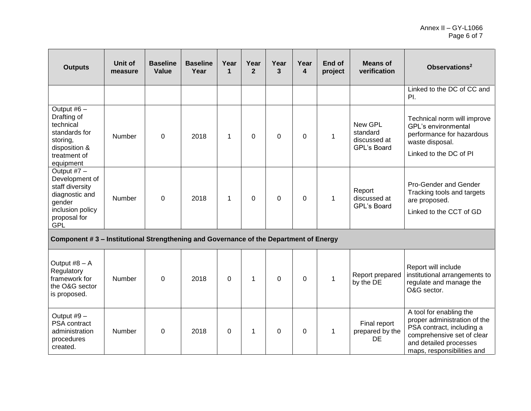| <b>Outputs</b>                                                                                                                 | Unit of<br>measure | <b>Baseline</b><br>Value | <b>Baseline</b><br>Year | Year<br>1   | Year<br>$\overline{2}$ | Year<br>3      | Year<br>4   | End of<br>project | <b>Means of</b><br>verification                           | Observations <sup>2</sup>                                                                                                                                                  |
|--------------------------------------------------------------------------------------------------------------------------------|--------------------|--------------------------|-------------------------|-------------|------------------------|----------------|-------------|-------------------|-----------------------------------------------------------|----------------------------------------------------------------------------------------------------------------------------------------------------------------------------|
|                                                                                                                                |                    |                          |                         |             |                        |                |             |                   |                                                           | Linked to the DC of CC and<br>PI.                                                                                                                                          |
| Output #6 $-$<br>Drafting of<br>technical<br>standards for<br>storing,<br>disposition &<br>treatment of<br>equipment           | Number             | $\mathbf 0$              | 2018                    | $\mathbf 1$ | $\mathbf 0$            | $\mathbf 0$    | $\mathbf 0$ | $\mathbf{1}$      | <b>New GPL</b><br>standard<br>discussed at<br>GPL's Board | Technical norm will improve<br>GPL's environmental<br>performance for hazardous<br>waste disposal.<br>Linked to the DC of PI                                               |
| Output #7 -<br>Development of<br>staff diversity<br>diagnostic and<br>gender<br>inclusion policy<br>proposal for<br><b>GPL</b> | Number             | $\mathbf 0$              | 2018                    | $\mathbf 1$ | $\mathbf 0$            | $\overline{0}$ | $\Omega$    | $\mathbf{1}$      | Report<br>discussed at<br><b>GPL's Board</b>              | Pro-Gender and Gender<br>Tracking tools and targets<br>are proposed.<br>Linked to the CCT of GD                                                                            |
| Component #3 - Institutional Strengthening and Governance of the Department of Energy                                          |                    |                          |                         |             |                        |                |             |                   |                                                           |                                                                                                                                                                            |
| Output #8 - A<br>Regulatory<br>framework for<br>the O&G sector<br>is proposed.                                                 | Number             | 0                        | 2018                    | 0           | $\mathbf{1}$           | $\mathbf 0$    | $\mathbf 0$ | $\mathbf{1}$      | Report prepared<br>by the DE                              | Report will include<br>institutional arrangements to<br>regulate and manage the<br>O&G sector.                                                                             |
| Output #9 -<br>PSA contract<br>administration<br>procedures<br>created.                                                        | Number             | $\Omega$                 | 2018                    | $\Omega$    | $\mathbf{1}$           | $\overline{0}$ | $\Omega$    | 1                 | Final report<br>prepared by the<br><b>DE</b>              | A tool for enabling the<br>proper administration of the<br>PSA contract, including a<br>comprehensive set of clear<br>and detailed processes<br>maps, responsibilities and |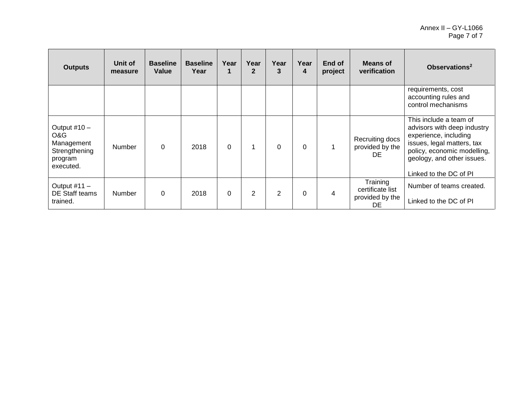| <b>Outputs</b>                                                             | Unit of<br>measure | <b>Baseline</b><br>Value | <b>Baseline</b><br>Year | Year     | Year<br>$\mathbf{2}$ | Year<br>3      | Year<br>4 | End of<br>project | <b>Means of</b><br>verification                       | Observations <sup>2</sup>                                                                                                                                                                           |
|----------------------------------------------------------------------------|--------------------|--------------------------|-------------------------|----------|----------------------|----------------|-----------|-------------------|-------------------------------------------------------|-----------------------------------------------------------------------------------------------------------------------------------------------------------------------------------------------------|
|                                                                            |                    |                          |                         |          |                      |                |           |                   |                                                       | requirements, cost<br>accounting rules and<br>control mechanisms                                                                                                                                    |
| Output #10 -<br>O&G<br>Management<br>Strengthening<br>program<br>executed. | Number             | $\mathbf{0}$             | 2018                    | $\Omega$ | $\mathbf 1$          | $\Omega$       | $\Omega$  |                   | Recruiting docs<br>provided by the<br>DE.             | This include a team of<br>advisors with deep industry<br>experience, including<br>issues, legal matters, tax<br>policy, economic modelling,<br>geology, and other issues.<br>Linked to the DC of PI |
| Output $#11 -$<br>DE Staff teams<br>trained.                               | <b>Number</b>      | $\Omega$                 | 2018                    | 0        | $\overline{2}$       | $\overline{2}$ | 0         | 4                 | Training<br>certificate list<br>provided by the<br>DE | Number of teams created.<br>Linked to the DC of PI                                                                                                                                                  |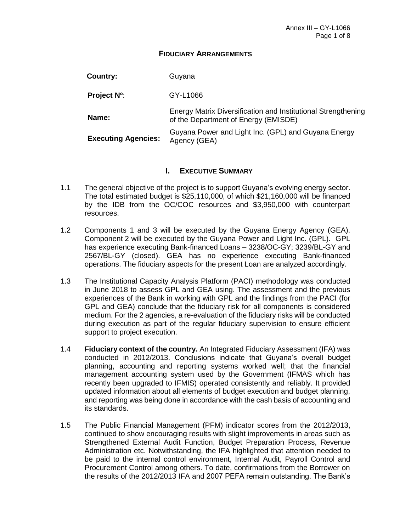#### **FIDUCIARY ARRANGEMENTS**

| Country: | Guyana |
|----------|--------|
|          |        |

**Project Nº**: GY-L1066

**Name:** Energy Matrix Diversification and Institutional Strengthening of the Department of Energy (EMISDE)

**Executing Agencies:** Guyana Power and Light Inc. (GPL) and Guyana Energy Agency (GEA)

### **I. EXECUTIVE SUMMARY**

- 1.1 The general objective of the project is to support Guyana's evolving energy sector. The total estimated budget is \$25,110,000, of which \$21,160,000 will be financed by the IDB from the OC/COC resources and \$3,950,000 with counterpart resources.
- 1.2 Components 1 and 3 will be executed by the Guyana Energy Agency (GEA). Component 2 will be executed by the Guyana Power and Light Inc. (GPL). GPL has experience executing Bank-financed Loans – 3238/OC-GY; 3239/BL-GY and 2567/BL-GY (closed). GEA has no experience executing Bank-financed operations. The fiduciary aspects for the present Loan are analyzed accordingly.
- 1.3 The Institutional Capacity Analysis Platform (PACI) methodology was conducted in June 2018 to assess GPL and GEA using. The assessment and the previous experiences of the Bank in working with GPL and the findings from the PACI (for GPL and GEA) conclude that the fiduciary risk for all components is considered medium. For the 2 agencies, a re-evaluation of the fiduciary risks will be conducted during execution as part of the regular fiduciary supervision to ensure efficient support to project execution.
- 1.4 **Fiduciary context of the country.** An Integrated Fiduciary Assessment (IFA) was conducted in 2012/2013. Conclusions indicate that Guyana's overall budget planning, accounting and reporting systems worked well; that the financial management accounting system used by the Government (IFMAS which has recently been upgraded to IFMIS) operated consistently and reliably. It provided updated information about all elements of budget execution and budget planning, and reporting was being done in accordance with the cash basis of accounting and its standards.
- 1.5 The Public Financial Management (PFM) indicator scores from the 2012/2013, continued to show encouraging results with slight improvements in areas such as Strengthened External Audit Function, Budget Preparation Process, Revenue Administration etc. Notwithstanding, the IFA highlighted that attention needed to be paid to the internal control environment, Internal Audit, Payroll Control and Procurement Control among others. To date, confirmations from the Borrower on the results of the 2012/2013 IFA and 2007 PEFA remain outstanding. The Bank's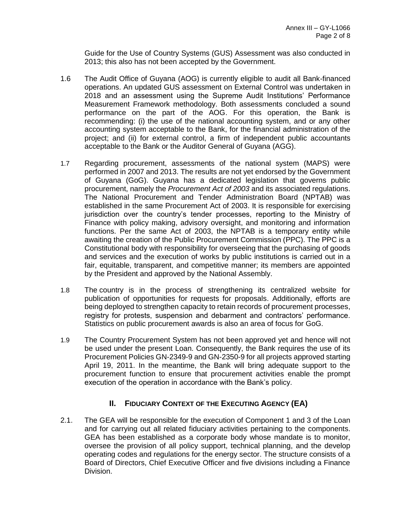Guide for the Use of Country Systems (GUS) Assessment was also conducted in 2013; this also has not been accepted by the Government.

- 1.6 The Audit Office of Guyana (AOG) is currently eligible to audit all Bank-financed operations. An updated GUS assessment on External Control was undertaken in 2018 and an assessment using the Supreme Audit Institutions' Performance Measurement Framework methodology. Both assessments concluded a sound performance on the part of the AOG. For this operation, the Bank is recommending: (i) the use of the national accounting system, and or any other accounting system acceptable to the Bank, for the financial administration of the project; and (ii) for external control, a firm of independent public accountants acceptable to the Bank or the Auditor General of Guyana (AGG).
- 1.7 Regarding procurement, assessments of the national system (MAPS) were performed in 2007 and 2013. The results are not yet endorsed by the Government of Guyana (GoG). Guyana has a dedicated legislation that governs public procurement, namely the *Procurement Act of 2003* and its associated regulations. The National Procurement and Tender Administration Board (NPTAB) was established in the same Procurement Act of 2003. It is responsible for exercising jurisdiction over the country's tender processes, reporting to the Ministry of Finance with policy making, advisory oversight, and monitoring and information functions. Per the same Act of 2003, the NPTAB is a temporary entity while awaiting the creation of the Public Procurement Commission (PPC). The PPC is a Constitutional body with responsibility for overseeing that the purchasing of goods and services and the execution of works by public institutions is carried out in a fair, equitable, transparent, and competitive manner; its members are appointed by the President and approved by the National Assembly.
- 1.8 The country is in the process of strengthening its centralized website for publication of opportunities for requests for proposals. Additionally, efforts are being deployed to strengthen capacity to retain records of procurement processes, registry for protests, suspension and debarment and contractors' performance. Statistics on public procurement awards is also an area of focus for GoG.
- 1.9 The Country Procurement System has not been approved yet and hence will not be used under the present Loan. Consequently, the Bank requires the use of its Procurement Policies GN-2349-9 and GN-2350-9 for all projects approved starting April 19, 2011. In the meantime, the Bank will bring adequate support to the procurement function to ensure that procurement activities enable the prompt execution of the operation in accordance with the Bank's policy.

# **II. FIDUCIARY CONTEXT OF THE EXECUTING AGENCY (EA)**

2.1. The GEA will be responsible for the execution of Component 1 and 3 of the Loan and for carrying out all related fiduciary activities pertaining to the components. GEA has been established as a corporate body whose mandate is to monitor, oversee the provision of all policy support, technical planning, and the develop operating codes and regulations for the energy sector. The structure consists of a Board of Directors, Chief Executive Officer and five divisions including a Finance Division.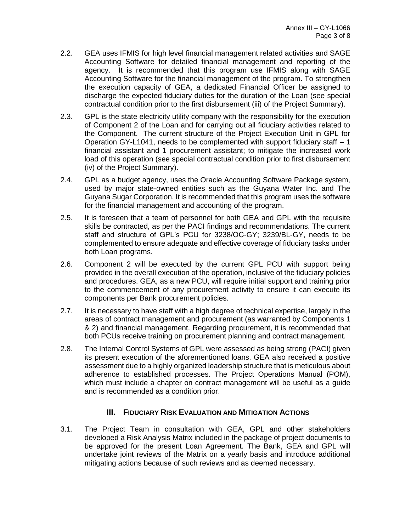- 2.2. GEA uses IFMIS for high level financial management related activities and SAGE Accounting Software for detailed financial management and reporting of the agency. It is recommended that this program use IFMIS along with SAGE Accounting Software for the financial management of the program. To strengthen the execution capacity of GEA, a dedicated Financial Officer be assigned to discharge the expected fiduciary duties for the duration of the Loan (see special contractual condition prior to the first disbursement (iii) of the Project Summary).
- 2.3. GPL is the state electricity utility company with the responsibility for the execution of Component 2 of the Loan and for carrying out all fiduciary activities related to the Component. The current structure of the Project Execution Unit in GPL for Operation GY-L1041, needs to be complemented with support fiduciary staff – 1 financial assistant and 1 procurement assistant; to mitigate the increased work load of this operation (see special contractual condition prior to first disbursement (iv) of the Project Summary).
- 2.4. GPL as a budget agency, uses the Oracle Accounting Software Package system, used by major state-owned entities such as the Guyana Water Inc. and The Guyana Sugar Corporation. It is recommended that this program uses the software for the financial management and accounting of the program.
- 2.5. It is foreseen that a team of personnel for both GEA and GPL with the requisite skills be contracted, as per the PACI findings and recommendations. The current staff and structure of GPL's PCU for 3238/OC-GY; 3239/BL-GY, needs to be complemented to ensure adequate and effective coverage of fiduciary tasks under both Loan programs.
- 2.6. Component 2 will be executed by the current GPL PCU with support being provided in the overall execution of the operation, inclusive of the fiduciary policies and procedures. GEA, as a new PCU, will require initial support and training prior to the commencement of any procurement activity to ensure it can execute its components per Bank procurement policies.
- 2.7. It is necessary to have staff with a high degree of technical expertise, largely in the areas of contract management and procurement (as warranted by Components 1 & 2) and financial management. Regarding procurement, it is recommended that both PCUs receive training on procurement planning and contract management.
- 2.8. The Internal Control Systems of GPL were assessed as being strong (PACI) given its present execution of the aforementioned loans. GEA also received a positive assessment due to a highly organized leadership structure that is meticulous about adherence to established processes. The Project Operations Manual (POM), which must include a chapter on contract management will be useful as a guide and is recommended as a condition prior.

# **III. FIDUCIARY RISK EVALUATION AND MITIGATION ACTIONS**

3.1. The Project Team in consultation with GEA, GPL and other stakeholders developed a Risk Analysis Matrix included in the package of project documents to be approved for the present Loan Agreement. The Bank, GEA and GPL will undertake joint reviews of the Matrix on a yearly basis and introduce additional mitigating actions because of such reviews and as deemed necessary.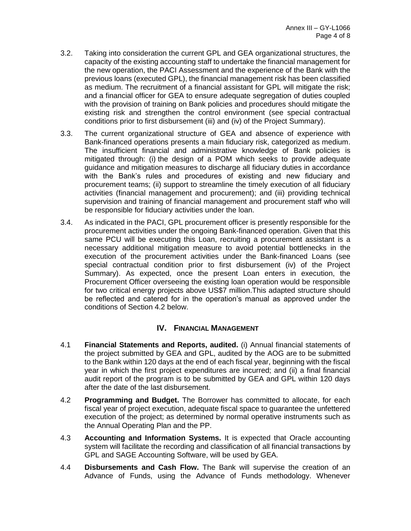- 3.2. Taking into consideration the current GPL and GEA organizational structures, the capacity of the existing accounting staff to undertake the financial management for the new operation, the PACI Assessment and the experience of the Bank with the previous loans (executed GPL), the financial management risk has been classified as medium. The recruitment of a financial assistant for GPL will mitigate the risk; and a financial officer for GEA to ensure adequate segregation of duties coupled with the provision of training on Bank policies and procedures should mitigate the existing risk and strengthen the control environment (see special contractual conditions prior to first disbursement (iii) and (iv) of the Project Summary).
- 3.3. The current organizational structure of GEA and absence of experience with Bank-financed operations presents a main fiduciary risk, categorized as medium. The insufficient financial and administrative knowledge of Bank policies is mitigated through: (i) the design of a POM which seeks to provide adequate guidance and mitigation measures to discharge all fiduciary duties in accordance with the Bank's rules and procedures of existing and new fiduciary and procurement teams; (ii) support to streamline the timely execution of all fiduciary activities (financial management and procurement); and (iii) providing technical supervision and training of financial management and procurement staff who will be responsible for fiduciary activities under the loan.
- 3.4. As indicated in the PACI, GPL procurement officer is presently responsible for the procurement activities under the ongoing Bank-financed operation. Given that this same PCU will be executing this Loan, recruiting a procurement assistant is a necessary additional mitigation measure to avoid potential bottlenecks in the execution of the procurement activities under the Bank-financed Loans (see special contractual condition prior to first disbursement (iv) of the Project Summary). As expected, once the present Loan enters in execution, the Procurement Officer overseeing the existing loan operation would be responsible for two critical energy projects above US\$7 million.This adapted structure should be reflected and catered for in the operation's manual as approved under the conditions of Section 4.2 below.

# **IV. FINANCIAL MANAGEMENT**

- 4.1 **Financial Statements and Reports, audited.** (i) Annual financial statements of the project submitted by GEA and GPL, audited by the AOG are to be submitted to the Bank within 120 days at the end of each fiscal year, beginning with the fiscal year in which the first project expenditures are incurred; and (ii) a final financial audit report of the program is to be submitted by GEA and GPL within 120 days after the date of the last disbursement.
- 4.2 **Programming and Budget.** The Borrower has committed to allocate, for each fiscal year of project execution, adequate fiscal space to guarantee the unfettered execution of the project; as determined by normal operative instruments such as the Annual Operating Plan and the PP.
- 4.3 **Accounting and Information Systems.** It is expected that Oracle accounting system will facilitate the recording and classification of all financial transactions by GPL and SAGE Accounting Software, will be used by GEA.
- 4.4 **Disbursements and Cash Flow.** The Bank will supervise the creation of an Advance of Funds, using the Advance of Funds methodology. Whenever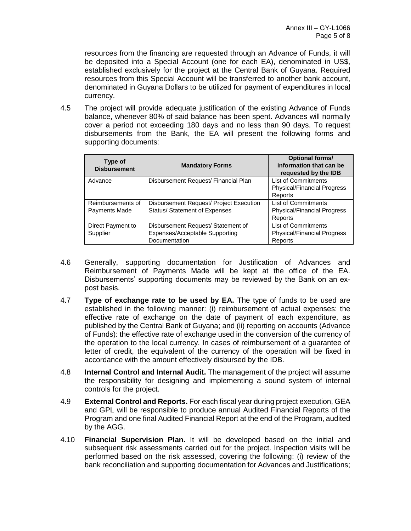resources from the financing are requested through an Advance of Funds, it will be deposited into a Special Account (one for each EA), denominated in US\$, established exclusively for the project at the Central Bank of Guyana. Required resources from this Special Account will be transferred to another bank account, denominated in Guyana Dollars to be utilized for payment of expenditures in local currency.

4.5 The project will provide adequate justification of the existing Advance of Funds balance, whenever 80% of said balance has been spent. Advances will normally cover a period not exceeding 180 days and no less than 90 days. To request disbursements from the Bank, the EA will present the following forms and supporting documents:

| Type of<br><b>Disbursement</b>     | <b>Mandatory Forms</b>                                                                | <b>Optional forms/</b><br>information that can be<br>requested by the IDB   |
|------------------------------------|---------------------------------------------------------------------------------------|-----------------------------------------------------------------------------|
| Advance                            | Disbursement Request/ Financial Plan                                                  | <b>List of Commitments</b><br><b>Physical/Financial Progress</b><br>Reports |
| Reimbursements of<br>Payments Made | Disbursement Request/ Project Execution<br>Status/ Statement of Expenses              | <b>List of Commitments</b><br><b>Physical/Financial Progress</b><br>Reports |
| Direct Payment to<br>Supplier      | Disbursement Request/ Statement of<br>Expenses/Acceptable Supporting<br>Documentation | <b>List of Commitments</b><br><b>Physical/Financial Progress</b><br>Reports |

- 4.6 Generally, supporting documentation for Justification of Advances and Reimbursement of Payments Made will be kept at the office of the EA. Disbursements' supporting documents may be reviewed by the Bank on an expost basis.
- 4.7 **Type of exchange rate to be used by EA.** The type of funds to be used are established in the following manner: (i) reimbursement of actual expenses: the effective rate of exchange on the date of payment of each expenditure, as published by the Central Bank of Guyana; and (ii) reporting on accounts (Advance of Funds): the effective rate of exchange used in the conversion of the currency of the operation to the local currency. In cases of reimbursement of a guarantee of letter of credit, the equivalent of the currency of the operation will be fixed in accordance with the amount effectively disbursed by the IDB.
- 4.8 **Internal Control and Internal Audit.** The management of the project will assume the responsibility for designing and implementing a sound system of internal controls for the project.
- 4.9 **External Control and Reports.** For each fiscal year during project execution, GEA and GPL will be responsible to produce annual Audited Financial Reports of the Program and one final Audited Financial Report at the end of the Program, audited by the AGG.
- 4.10 **Financial Supervision Plan.** It will be developed based on the initial and subsequent risk assessments carried out for the project. Inspection visits will be performed based on the risk assessed, covering the following: (i) review of the bank reconciliation and supporting documentation for Advances and Justifications;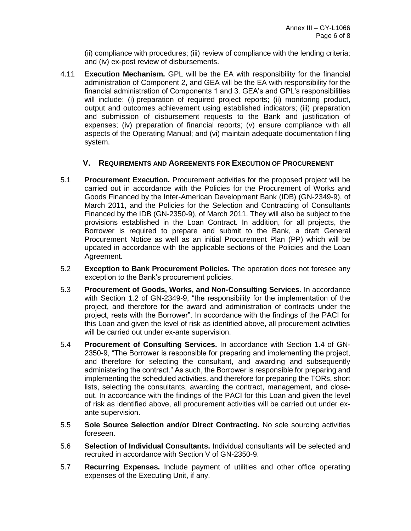(ii) compliance with procedures; (iii) review of compliance with the lending criteria; and (iv) ex-post review of disbursements.

4.11 **Execution Mechanism.** GPL will be the EA with responsibility for the financial administration of Component 2, and GEA will be the EA with responsibility for the financial administration of Components 1 and 3. GEA's and GPL's responsibilities will include: (i) preparation of required project reports; (ii) monitoring product, output and outcomes achievement using established indicators; (iii) preparation and submission of disbursement requests to the Bank and justification of expenses; (iv) preparation of financial reports; (v) ensure compliance with all aspects of the Operating Manual; and (vi) maintain adequate documentation filing system.

### **V. REQUIREMENTS AND AGREEMENTS FOR EXECUTION OF PROCUREMENT**

- 5.1 **Procurement Execution.** Procurement activities for the proposed project will be carried out in accordance with the Policies for the Procurement of Works and Goods Financed by the Inter-American Development Bank (IDB) (GN-2349-9), of March 2011, and the Policies for the Selection and Contracting of Consultants Financed by the IDB (GN-2350-9), of March 2011. They will also be subject to the provisions established in the Loan Contract. In addition, for all projects, the Borrower is required to prepare and submit to the Bank, a draft General Procurement Notice as well as an initial Procurement Plan (PP) which will be updated in accordance with the applicable sections of the Policies and the Loan Agreement.
- 5.2 **Exception to Bank Procurement Policies.** The operation does not foresee any exception to the Bank's procurement policies.
- 5.3 **Procurement of Goods, Works, and Non-Consulting Services.** In accordance with Section 1.2 of GN-2349-9, "the responsibility for the implementation of the project, and therefore for the award and administration of contracts under the project, rests with the Borrower". In accordance with the findings of the PACI for this Loan and given the level of risk as identified above, all procurement activities will be carried out under ex-ante supervision.
- 5.4 **Procurement of Consulting Services.** In accordance with Section 1.4 of GN-2350-9, "The Borrower is responsible for preparing and implementing the project, and therefore for selecting the consultant, and awarding and subsequently administering the contract." As such, the Borrower is responsible for preparing and implementing the scheduled activities, and therefore for preparing the TORs, short lists, selecting the consultants, awarding the contract, management, and closeout. In accordance with the findings of the PACI for this Loan and given the level of risk as identified above, all procurement activities will be carried out under exante supervision.
- 5.5 **Sole Source Selection and/or Direct Contracting.** No sole sourcing activities foreseen.
- 5.6 **Selection of Individual Consultants.** Individual consultants will be selected and recruited in accordance with Section V of GN-2350-9.
- 5.7 **Recurring Expenses.** Include payment of utilities and other office operating expenses of the Executing Unit, if any.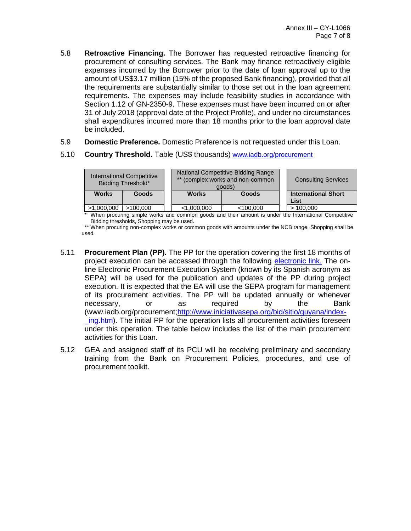- 5.8 **Retroactive Financing.** The Borrower has requested retroactive financing for procurement of consulting services. The Bank may finance retroactively eligible expenses incurred by the Borrower prior to the date of loan approval up to the amount of US\$3.17 million (15% of the proposed Bank financing), provided that all the requirements are substantially similar to those set out in the loan agreement requirements. The expenses may include feasibility studies in accordance with Section 1.12 of GN-2350-9. These expenses must have been incurred on or after 31 of July 2018 (approval date of the Project Profile), and under no circumstances shall expenditures incurred more than 18 months prior to the loan approval date be included.
- 5.9 **Domestic Preference.** Domestic Preference is not requested under this Loan.
- 5.10 **Country Threshold.** Table (US\$ thousands) [www.iadb.org/procurement](http://www.iadb.org/procurement)

| <b>International Competitive</b><br>Bidding Threshold* |              |  |              | National Competitive Bidding Range<br>** (complex works and non-common<br>goods) | <b>Consulting Services</b>         |  |  |
|--------------------------------------------------------|--------------|--|--------------|----------------------------------------------------------------------------------|------------------------------------|--|--|
| <b>Works</b>                                           | <b>Goods</b> |  | <b>Works</b> | <b>Goods</b>                                                                     | <b>International Short</b><br>List |  |  |
| >1,000,000                                             | >100.000     |  | < 1,000,000  | $<$ 100.000                                                                      | >100.000                           |  |  |

\* When procuring simple works and common goods and their amount is under the International Competitive Bidding thresholds, Shopping may be used.

\*\* When procuring non-complex works or common goods with amounts under the NCB range, Shopping shall be used.

- 5.11 **Procurement Plan (PP).** The PP for the operation covering the first 18 months of project execution can be accessed through the following [electronic link.](http://idbdocs.iadb.org/WSdocs/getDocument.aspx?DOCNUM=38332109) The online Electronic Procurement Execution System (known by its Spanish acronym as SEPA) will be used for the publication and updates of the PP during project execution. It is expected that the EA will use the SEPA program for management of its procurement activities. The PP will be updated annually or whenever necessary, or as required by the Bank [\(www.iadb.org/procurement](http://www.iadb.org/procurement)[;http://www.iniciativasepa.org/bid/sitio/guyana/index](http://www.iniciativasepa.org/bid/sitio/guyana/index-_ing.htm) ing.htm). The initial PP for the operation lists all procurement activities foreseen under this operation. The table below includes the list of the main procurement activities for this Loan.
- 5.12 GEA and assigned staff of its PCU will be receiving preliminary and secondary training from the Bank on Procurement Policies, procedures, and use of procurement toolkit.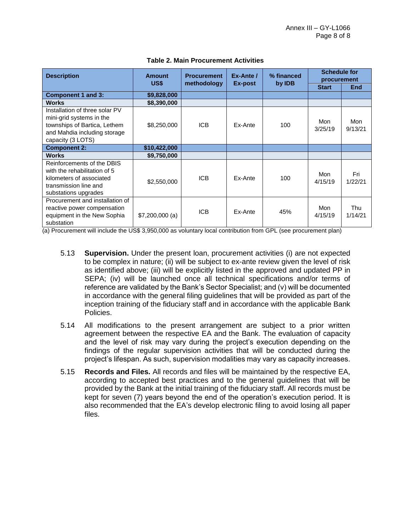| <b>Description</b>                                                                                                                              | <b>Amount</b><br>US\$ | <b>Procurement</b><br>methodology | Ex-Ante /<br>Ex-post | % financed<br>by <b>IDB</b> | <b>Schedule for</b><br>procurement |                |  |
|-------------------------------------------------------------------------------------------------------------------------------------------------|-----------------------|-----------------------------------|----------------------|-----------------------------|------------------------------------|----------------|--|
|                                                                                                                                                 |                       |                                   |                      |                             | <b>Start</b>                       | <b>End</b>     |  |
| Component 1 and 3:                                                                                                                              | \$9,828,000           |                                   |                      |                             |                                    |                |  |
| <b>Works</b>                                                                                                                                    | \$8,390,000           |                                   |                      |                             |                                    |                |  |
| Installation of three solar PV<br>mini-grid systems in the<br>townships of Bartica, Lethem<br>and Mahdia including storage<br>capacity (3 LOTS) | \$8,250,000           | <b>ICB</b>                        | Ex-Ante              | 100                         | Mon<br>3/25/19                     | Mon<br>9/13/21 |  |
| <b>Component 2:</b>                                                                                                                             | \$10,422,000          |                                   |                      |                             |                                    |                |  |
| <b>Works</b>                                                                                                                                    | \$9,750,000           |                                   |                      |                             |                                    |                |  |
| Reinforcements of the DBIS<br>with the rehabilitation of 5<br>kilometers of associated<br>transmission line and<br>substations upgrades         | \$2,550,000           | <b>ICB</b>                        | Ex-Ante              | 100                         | Mon<br>4/15/19                     | Fri<br>1/22/21 |  |
| Procurement and installation of<br>reactive power compensation<br>equipment in the New Sophia<br>substation                                     | $$7,200,000$ (a)      | <b>ICB</b>                        | Ex-Ante              | 45%                         | Mon<br>4/15/19                     | Thu<br>1/14/21 |  |

#### **Table 2. Main Procurement Activities**

(a) Procurement will include the US\$ 3,950,000 as voluntary local contribution from GPL (see procurement plan)

- 5.13 **Supervision.** Under the present loan, procurement activities (i) are not expected to be complex in nature; (ii) will be subject to ex-ante review given the level of risk as identified above; (iii) will be explicitly listed in the approved and updated PP in SEPA; (iv) will be launched once all technical specifications and/or terms of reference are validated by the Bank's Sector Specialist; and (v) will be documented in accordance with the general filing guidelines that will be provided as part of the inception training of the fiduciary staff and in accordance with the applicable Bank Policies.
- 5.14 All modifications to the present arrangement are subject to a prior written agreement between the respective EA and the Bank. The evaluation of capacity and the level of risk may vary during the project's execution depending on the findings of the regular supervision activities that will be conducted during the project's lifespan. As such, supervision modalities may vary as capacity increases.
- 5.15 **Records and Files.** All records and files will be maintained by the respective EA, according to accepted best practices and to the general guidelines that will be provided by the Bank at the initial training of the fiduciary staff. All records must be kept for seven (7) years beyond the end of the operation's execution period. It is also recommended that the EA's develop electronic filing to avoid losing all paper files.